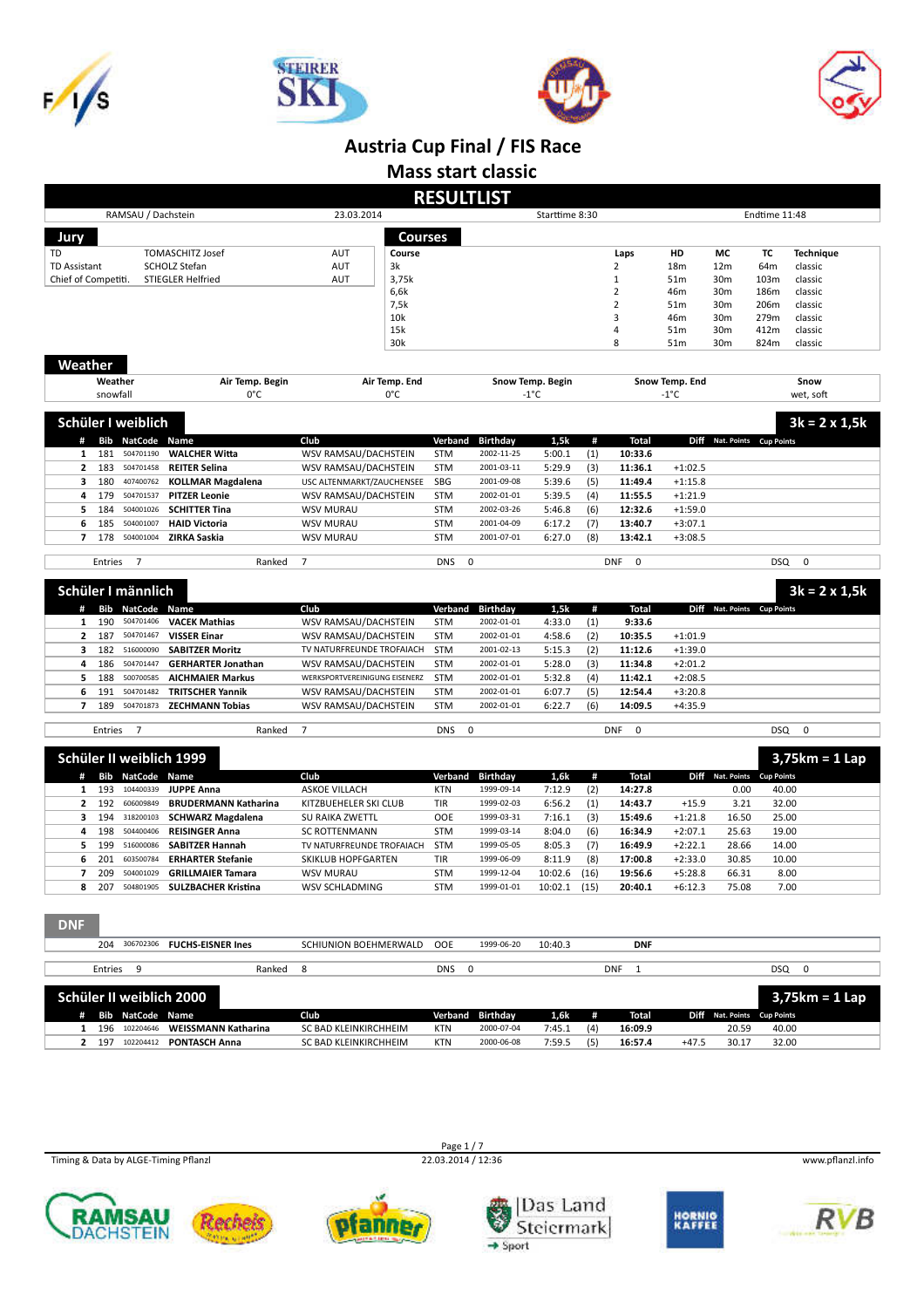







**Mass start classic**

|                          |          |                          |                                   |                                          |            | <b>RESULTLIST</b> |                  |      |                           |                 |                             |                   |                       |
|--------------------------|----------|--------------------------|-----------------------------------|------------------------------------------|------------|-------------------|------------------|------|---------------------------|-----------------|-----------------------------|-------------------|-----------------------|
|                          |          | RAMSAU / Dachstein       |                                   | 23.03.2014                               |            |                   | Starttime 8:30   |      |                           |                 |                             | Endtime 11:48     |                       |
| Jury                     |          |                          |                                   | <b>Courses</b>                           |            |                   |                  |      |                           |                 |                             |                   |                       |
| TD                       |          |                          | <b>TOMASCHITZ Josef</b>           | AUT<br>Course                            |            |                   |                  |      | Laps                      | HD              | МC                          | тc                | <b>Technique</b>      |
| <b>TD Assistant</b>      |          |                          | SCHOLZ Stefan                     | AUT<br>3k                                |            |                   |                  |      | 2                         | 18m             | 12 <sub>m</sub>             | 64m               | classic               |
| Chief of Competiti.      |          |                          | <b>STIEGLER Helfried</b>          | <b>AUT</b><br>3,75k                      |            |                   |                  |      | $\mathbf 1$               | 51m             | 30m                         | 103m              | classic               |
|                          |          |                          |                                   | 6,6k                                     |            |                   |                  |      | $\overline{2}$            | 46m             | 30m                         | 186m              | classic               |
|                          |          |                          |                                   | 7,5k                                     |            |                   |                  |      | 2                         | 51m             | 30m                         | 206m              | classic               |
|                          |          |                          |                                   | 10k                                      |            |                   |                  |      | 3                         | 46m             | 30m                         | 279m              | classic               |
|                          |          |                          |                                   | 15k                                      |            |                   |                  |      | 4                         | 51m             | 30m                         | 412m              | classic               |
|                          |          |                          |                                   | 30k                                      |            |                   |                  |      | 8                         | 51 <sub>m</sub> | 30m                         | 824m              | classic               |
| Weather                  |          |                          |                                   |                                          |            |                   |                  |      |                           |                 |                             |                   |                       |
|                          | Weather  |                          | Air Temp. Begin                   | Air Temp. End                            |            |                   | Snow Temp. Begin |      |                           | Snow Temp. End  |                             |                   | Snow                  |
|                          | snowfall |                          | 0°C                               | 0°C                                      |            |                   | -1°C             |      |                           | -1°C            |                             |                   | wet, soft             |
|                          |          |                          |                                   |                                          |            |                   |                  |      |                           |                 |                             |                   |                       |
|                          |          | Schüler I weiblich       |                                   |                                          |            |                   |                  |      |                           |                 |                             |                   | $3k = 2 \times 1, 5k$ |
| #                        |          | <b>Bib NatCode Name</b>  |                                   | Club                                     | Verband    | <b>Birthday</b>   | 1,5k             | #    | <b>Total</b>              |                 | Diff Nat. Points Cup Points |                   |                       |
| 1                        | 181      | 504701190                | <b>WALCHER Witta</b>              | WSV RAMSAU/DACHSTEIN                     | <b>STM</b> | 2002-11-25        | 5:00.1           | (1)  | 10:33.6                   |                 |                             |                   |                       |
| 2                        | 183      | 504701458                | <b>REITER Selina</b>              | WSV RAMSAU/DACHSTEIN                     | <b>STM</b> | 2001-03-11        | 5:29.9           | (3)  | 11:36.1                   | $+1:02.5$       |                             |                   |                       |
| з                        | 180      | 407400762                | <b>KOLLMAR Magdalena</b>          | USC ALTENMARKT/ZAUCHENSEE                | SBG        | 2001-09-08        | 5:39.6           | (5)  | 11:49.4                   | $+1:15.8$       |                             |                   |                       |
| 4                        | 179      | 504701537                | <b>PITZER Leonie</b>              |                                          | <b>STM</b> | 2002-01-01        | 5:39.5           | (4)  | 11:55.5                   | $+1:21.9$       |                             |                   |                       |
| 5                        | 184      | 504001026                | <b>SCHITTER Tina</b>              | WSV RAMSAU/DACHSTEIN<br><b>WSV MURAU</b> | <b>STM</b> | 2002-03-26        | 5:46.8           | (6)  | 12:32.6                   | $+1:59.0$       |                             |                   |                       |
| 6                        | 185      | 504001007                | <b>HAID Victoria</b>              | <b>WSV MURAU</b>                         | <b>STM</b> | 2001-04-09        | 6:17.2           | (7)  | 13:40.7                   | $+3:07.1$       |                             |                   |                       |
| $\overline{\phantom{a}}$ | 178      | 504001004                |                                   |                                          | <b>STM</b> | 2001-07-01        |                  | (8)  | 13:42.1                   |                 |                             |                   |                       |
|                          |          |                          | ZIRKA Saskia                      | <b>WSV MURAU</b>                         |            |                   | 6:27.0           |      |                           | $+3:08.5$       |                             |                   |                       |
|                          | Entries  | 7                        | Ranked                            | $\overline{7}$                           | <b>DNS</b> | 0                 |                  |      | <b>DNF</b><br>$\mathbf 0$ |                 |                             | <b>DSQ</b>        | $\mathbf 0$           |
|                          |          |                          |                                   |                                          |            |                   |                  |      |                           |                 |                             |                   |                       |
|                          |          | Schüler I männlich       |                                   |                                          |            |                   |                  |      |                           |                 |                             |                   | $3k = 2 \times 1, 5k$ |
|                          | Bib      | NatCode Name             |                                   | Club                                     | Verband    | <b>Birthday</b>   | 1,5k             | #    | Total                     | Diff            | Nat. Points Cup Points      |                   |                       |
| 1                        | 190      | 504701406                | <b>VACEK Mathias</b>              | WSV RAMSAU/DACHSTEIN                     | <b>STM</b> | 2002-01-01        | 4:33.0           | (1)  | 9:33.6                    |                 |                             |                   |                       |
| 2                        | 187      | 504701467                | <b>VISSER Einar</b>               | WSV RAMSAU/DACHSTEIN                     | <b>STM</b> | 2002-01-01        | 4:58.6           | (2)  | 10:35.5                   | $+1:01.9$       |                             |                   |                       |
| з                        | 182      | 516000090                | <b>SABITZER Moritz</b>            | TV NATURFREUNDE TROFAIACH                | <b>STM</b> | 2001-02-13        | 5:15.3           | (2)  | 11:12.6                   | $+1:39.0$       |                             |                   |                       |
| 4                        | 186      | 504701447                | <b>GERHARTER Jonathan</b>         | WSV RAMSAU/DACHSTEIN                     | <b>STM</b> | 2002-01-01        | 5:28.0           | (3)  | 11:34.8                   | $+2:01.2$       |                             |                   |                       |
| 5                        | 188      | 500700585                | <b>AICHMAIER Markus</b>           | WERKSPORTVEREINIGUNG EISENERZ            | <b>STM</b> | 2002-01-01        | 5:32.8           | (4)  | 11:42.1                   | $+2:08.5$       |                             |                   |                       |
| 6                        | 191      | 504701482                | <b>TRITSCHER Yannik</b>           | WSV RAMSAU/DACHSTEIN                     | <b>STM</b> | 2002-01-01        | 6:07.7           | (5)  | 12:54.4                   | $+3:20.8$       |                             |                   |                       |
| $\overline{\phantom{a}}$ | 189      | 504701873                | <b>ZECHMANN Tobias</b>            | WSV RAMSAU/DACHSTEIN                     | <b>STM</b> | 2002-01-01        | 6:22.7           | (6)  | 14:09.5                   | $+4:35.9$       |                             |                   |                       |
|                          |          |                          |                                   |                                          |            |                   |                  |      |                           |                 |                             |                   |                       |
|                          | Entries  | $\overline{7}$           | Ranked                            | $\overline{7}$                           | <b>DNS</b> | 0                 |                  |      | <b>DNF</b><br>$\mathbf 0$ |                 |                             | DSQ               | $\mathbf 0$           |
|                          |          |                          |                                   |                                          |            |                   |                  |      |                           |                 |                             |                   |                       |
|                          |          | Schüler II weiblich 1999 |                                   |                                          |            |                   |                  |      |                           |                 |                             |                   | $3,75km = 1$ Lap      |
| #                        | Bib      | NatCode Name             |                                   | Club                                     | Verband    | <b>Birthday</b>   | 1.6k             | #    | Total                     |                 | Diff Nat. Points            | <b>Cup Points</b> |                       |
| 1                        | 193      | 104400339                | <b>JUPPE Anna</b>                 | ASKOE VILLACH                            | <b>KTN</b> | 1999-09-14        | 7:12.9           | (2)  | 14:27.8                   |                 | 0.00                        | 40.00             |                       |
| 2                        | 192      | 606009849                | <b>BRUDERMANN Katharina</b>       | KITZBUEHELER SKI CLUB                    | TIR        | 1999-02-03        | 6:56.2           | (1)  | 14:43.7                   | $+15.9$         | 3.21                        | 32.00             |                       |
| з                        |          | 194 318200103            | <b>SCHWARZ Magdalena</b>          | SU RAIKA ZWETTL                          | <b>OOE</b> | 1999-03-31        | 7:16.1           | (3)  | 15:49.6                   | $+1:21.8$       | 16.50                       | 25.00             |                       |
| 4                        | 198      | 504400406                | <b>REISINGER Anna</b>             | <b>SC ROTTENMANN</b>                     | <b>STM</b> | 1999-03-14        | 8:04.0           | (6)  | 16:34.9                   | $+2:07.1$       | 25.63                       | 19.00             |                       |
| 5                        | 199      | 516000086                | <b>SABITZER Hannah</b>            | TV NATURFREUNDE TROFAIACH                | <b>STM</b> | 1999-05-05        | 8:05.3           | (7)  | 16:49.9                   | $+2:22.1$       | 28.66                       | 14.00             |                       |
| 6                        | 201      | 603500784                | <b>ERHARTER Stefanie</b>          | SKIKLUB HOPFGARTEN                       | TIR        | 1999-06-09        | 8:11.9           | (8)  | 17:00.8                   | $+2:33.0$       | 30.85                       | 10.00             |                       |
| 7                        | 209      | 504001029                | <b>GRILLMAIER Tamara</b>          | <b>WSV MURAU</b>                         | <b>STM</b> | 1999-12-04        | 10:02.6          | (16) | 19:56.6                   | $+5:28.8$       | 66.31                       | 8.00              |                       |
|                          |          |                          | 207 504801905 SULZBACHER Kristina | WSV SCHLADMING                           | STM        | 1999-01-01        | 10:02.1 (15)     |      | 20:40.1                   | $+6:12.3$       | 75.08                       | 7.00              |                       |
| <b>DNF</b>               |          |                          |                                   |                                          |            |                   |                  |      |                           |                 |                             |                   |                       |
|                          |          |                          |                                   |                                          |            |                   |                  |      |                           |                 |                             |                   |                       |
|                          |          |                          | 204 306702306 FUCHS-EISNER Ines   | SCHIUNION BOEHMERWALD                    | OOE        | 1999-06-20        | 10:40.3          |      | <b>DNF</b>                |                 |                             |                   |                       |
|                          | Entries  | 9                        | Ranked                            | 8                                        | <b>DNS</b> | $\mathbf 0$       |                  |      | DNF<br>1                  |                 |                             |                   | DSQ 0                 |
|                          |          |                          |                                   |                                          |            |                   |                  |      |                           |                 |                             |                   |                       |
|                          |          | Schüler II weiblich 2000 |                                   |                                          |            |                   |                  |      |                           |                 |                             |                   | $3,75km = 1$ Lap      |
|                          |          |                          |                                   |                                          |            |                   |                  |      |                           |                 |                             |                   |                       |
|                          |          | # Bib NatCode Name       |                                   | Club                                     | Verband    | <b>Birthday</b>   | 1,6k             | #    | <b>Total</b>              |                 | Diff Nat. Points Cup Points |                   |                       |
| 1                        |          | 196 102204646            | <b>WEISSMANN Katharina</b>        | SC BAD KLEINKIRCHHEIM                    | <b>KTN</b> | 2000-07-04        | 7:45.1           | (4)  | 16:09.9                   |                 | 20.59                       | 40.00             |                       |
| 2                        |          |                          | 197 102204412 PONTASCH Anna       | SC BAD KLEINKIRCHHEIM                    | <b>KTN</b> | 2000-06-08        | 7:59.5           | (5)  | 16:57.4                   | $+47.5$         | 30.17                       | 32.00             |                       |















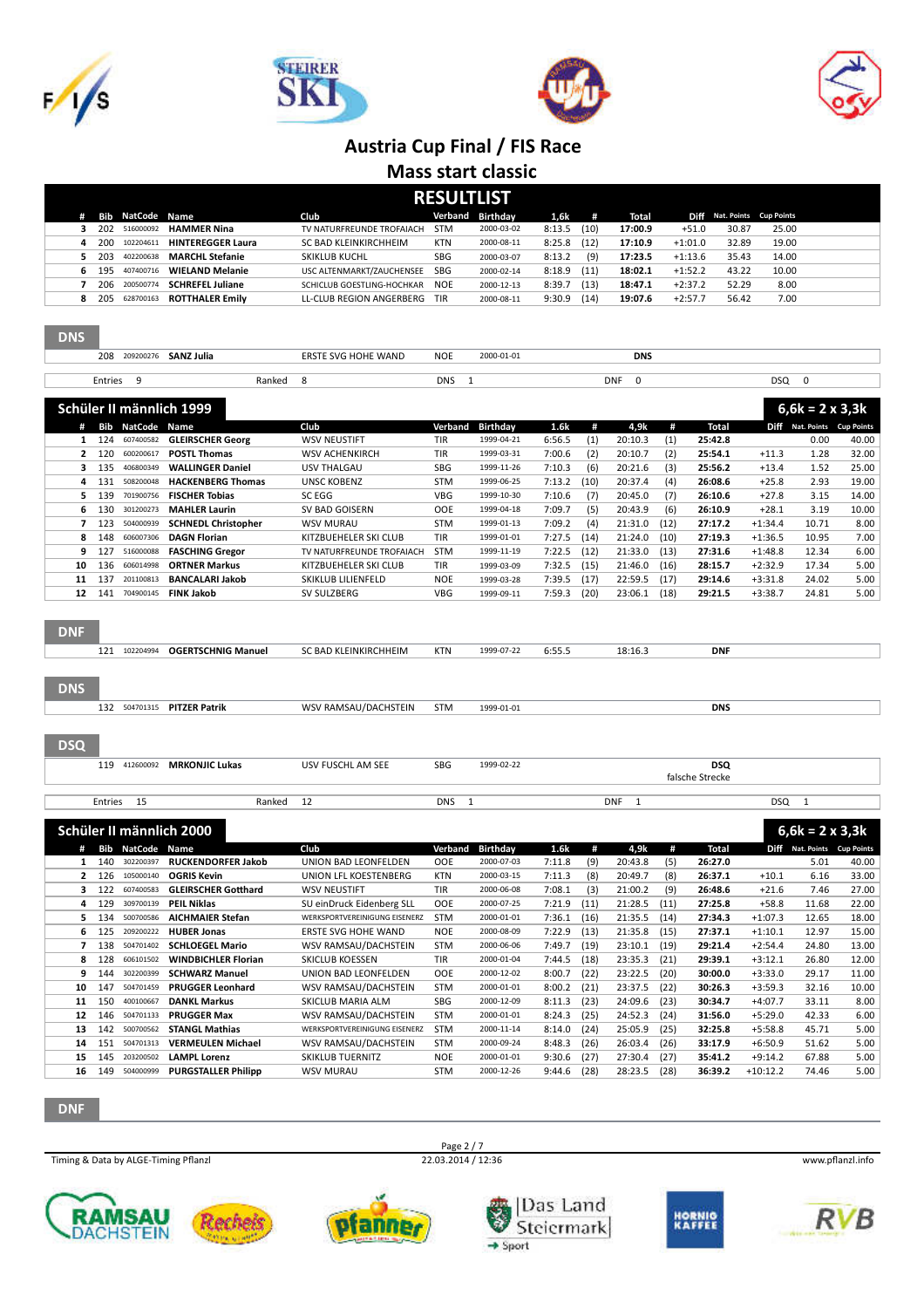

**DNS** 







#### **Austria Cup Final / FIS Race**

**Mass start classic**

| Rŀ<br>FSUITH | S |
|--------------|---|
|              |   |

| RESULILISI |                  |                           |                            |            |                  |        |      |         |           |                             |       |  |  |  |
|------------|------------------|---------------------------|----------------------------|------------|------------------|--------|------|---------|-----------|-----------------------------|-------|--|--|--|
|            | Bib NatCode Name |                           | Club                       |            | Verband Birthday | 1,6k   | #    | Total   |           | Diff Nat. Points Cup Points |       |  |  |  |
|            |                  | 202 516000092 HAMMER Nina | TV NATURFREUNDE TROFAIACH  | <b>STM</b> | 2000-03-02       | 8:13.5 | (10) | 17:00.9 | $+51.0$   | 30.87                       | 25.00 |  |  |  |
| 200        | 102204611        | <b>HINTEREGGER Laura</b>  | SC BAD KLEINKIRCHHEIM      | <b>KTN</b> | 2000-08-11       | 8:25.8 | (12) | 17:10.9 | $+1:01.0$ | 32.89                       | 19.00 |  |  |  |
| 203        | 402200638        | <b>MARCHL Stefanie</b>    | <b>SKIKLUB KUCHL</b>       | <b>SBG</b> | 2000-03-07       | 8:13.2 | (9)  | 17:23.5 | $+1:13.6$ | 35.43                       | 14.00 |  |  |  |
| 195        |                  | 407400716 WIELAND Melanie | USC ALTENMARKT/ZAUCHENSEE  | SBG        | 2000-02-14       | 8:18.9 | (11) | 18:02.1 | $+1:52.2$ | 43.22                       | 10.00 |  |  |  |
| 206        | 200500774        | <b>SCHREFEL Juliane</b>   | SCHICLUB GOESTLING-HOCHKAR | <b>NOE</b> | 2000-12-13       | 8:39.7 | (13) | 18:47.1 | $+2:37.2$ | 52.29                       | 8.00  |  |  |  |
| 205        | 628700163        | <b>ROTTHALER Emily</b>    | LL-CLUB REGION ANGERBERG   | TIR        | 2000-08-11       | 9:30.9 | (14) | 19:07.6 | $+2:57.7$ | 56.42                       | 7.00  |  |  |  |

| כמט        |                       |                    |                              |                               |            |                 |        |      |                           |      |                 |                  |                             |       |
|------------|-----------------------|--------------------|------------------------------|-------------------------------|------------|-----------------|--------|------|---------------------------|------|-----------------|------------------|-----------------------------|-------|
|            | 208                   |                    | 209200276 <b>SANZ Julia</b>  | <b>ERSTE SVG HOHE WAND</b>    | <b>NOE</b> | 2000-01-01      |        |      | <b>DNS</b>                |      |                 |                  |                             |       |
|            | Entries               | 9                  | Ranked                       | 8                             | <b>DNS</b> | $\mathbf{1}$    |        |      | $\mathbf 0$<br><b>DNF</b> |      |                 | DSQ              | $\mathbf 0$                 |       |
|            |                       |                    |                              |                               |            |                 |        |      |                           |      |                 |                  |                             |       |
|            |                       |                    | Schüler II männlich 1999     |                               |            |                 |        |      |                           |      |                 |                  | $6,6k = 2 \times 3,3k$      |       |
|            | #                     | <b>Bib NatCode</b> | <b>Name</b>                  | Club                          | Verband    | <b>Birthday</b> | 1.6k   | #    | 4.9k                      | #    | Total           |                  | Diff Nat. Points Cup Points |       |
|            | 124<br>$\mathbf{1}$   | 607400582          | <b>GLEIRSCHER Georg</b>      | <b>WSV NEUSTIFT</b>           | <b>TIR</b> | 1999-04-21      | 6:56.5 | (1)  | 20:10.3                   | (1)  | 25:42.8         |                  | 0.00                        | 40.00 |
|            | 120<br>$\overline{2}$ | 600200617          | <b>POSTL Thomas</b>          | <b>WSV ACHENKIRCH</b>         | TIR        | 1999-03-31      | 7:00.6 | (2)  | 20:10.7                   | (2)  | 25:54.1         | $+11.3$          | 1.28                        | 32.00 |
|            | 135<br>3              | 406800349          | <b>WALLINGER Daniel</b>      | <b>USV THALGAU</b>            | <b>SBG</b> | 1999-11-26      | 7:10.3 | (6)  | 20:21.6                   | (3)  | 25:56.2         | $+13.4$          | 1.52                        | 25.00 |
|            | 131<br>4              | 508200048          | <b>HACKENBERG Thomas</b>     | <b>UNSC KOBENZ</b>            | <b>STM</b> | 1999-06-25      | 7:13.2 | (10) | 20:37.4                   | (4)  | 26:08.6         | $+25.8$          | 2.93                        | 19.00 |
|            | 5<br>139              | 701900756          | <b>FISCHER Tobias</b>        | <b>SC EGG</b>                 | VBG        | 1999-10-30      | 7:10.6 | (7)  | 20:45.0                   | (7)  | 26:10.6         | $+27.8$          | 3.15                        | 14.00 |
|            | 130<br>6              | 301200273          | <b>MAHLER Laurin</b>         | SV BAD GOISERN                | <b>OOE</b> | 1999-04-18      | 7:09.7 | (5)  | 20:43.9                   | (6)  | 26:10.9         | $+28.1$          | 3.19                        | 10.00 |
|            | $\overline{7}$<br>123 | 504000939          | <b>SCHNEDL Christopher</b>   | <b>WSV MURAU</b>              | <b>STM</b> | 1999-01-13      | 7:09.2 | (4)  | 21:31.0                   | (12) | 27:17.2         | $+1:34.4$        | 10.71                       | 8.00  |
|            | 8<br>148              | 606007306          | <b>DAGN Florian</b>          | KITZBUEHELER SKI CLUB         | TIR        | 1999-01-01      | 7:27.5 | (14) | 21:24.0                   | (10) | 27:19.3         | $+1:36.5$        | 10.95                       | 7.00  |
|            | 127<br>9              | 516000088          | <b>FASCHING Gregor</b>       | TV NATURFREUNDE TROFAIACH     | <b>STM</b> | 1999-11-19      | 7:22.5 | (12) | 21:33.0                   | (13) | 27:31.6         | $+1:48.8$        | 12.34                       | 6.00  |
| 10         | 136                   | 606014998          | <b>ORTNER Markus</b>         | KITZBUEHELER SKI CLUB         | TIR        | 1999-03-09      | 7:32.5 | (15) | 21:46.0                   | (16) | 28:15.7         | $+2:32.9$        | 17.34                       | 5.00  |
| 11         | 137                   | 201100813          | <b>BANCALARI Jakob</b>       | SKIKLUB LILIENFELD            | <b>NOE</b> | 1999-03-28      | 7:39.5 | (17) | 22:59.5                   | (17) | 29:14.6         | $+3:31.8$        | 24.02                       | 5.00  |
| 12         | 141                   | 704900145          | <b>FINK Jakob</b>            | SV SULZBERG                   | <b>VBG</b> | 1999-09-11      | 7:59.3 | (20) | 23:06.1                   | (18) | 29:21.5         | $+3:38.7$        | 24.81                       | 5.00  |
| <b>DNF</b> |                       |                    |                              |                               |            |                 |        |      |                           |      |                 |                  |                             |       |
|            | 121                   | 102204994          | <b>OGERTSCHNIG Manuel</b>    | SC BAD KLEINKIRCHHEIM         | <b>KTN</b> | 1999-07-22      | 6:55.5 |      | 18:16.3                   |      | <b>DNF</b>      |                  |                             |       |
| <b>DNS</b> |                       |                    |                              |                               |            |                 |        |      |                           |      |                 |                  |                             |       |
|            |                       |                    | 132 504701315 PITZER Patrik  | WSV RAMSAU/DACHSTEIN          | <b>STM</b> | 1999-01-01      |        |      |                           |      | <b>DNS</b>      |                  |                             |       |
| <b>DSQ</b> |                       |                    |                              |                               |            |                 |        |      |                           |      |                 |                  |                             |       |
|            |                       |                    | 119 412600092 MRKONJIC Lukas | USV FUSCHL AM SEE             | SBG        | 1999-02-22      |        |      |                           |      | <b>DSQ</b>      |                  |                             |       |
|            |                       |                    |                              |                               |            |                 |        |      |                           |      | falsche Strecke |                  |                             |       |
|            | Entries               | 15                 | Ranked                       | 12                            | <b>DNS</b> | $\mathbf{1}$    |        |      | DNF<br>1                  |      |                 | DSQ <sub>1</sub> |                             |       |
|            |                       |                    | Schüler II männlich 2000     |                               |            |                 |        |      |                           |      |                 |                  | $6,6k = 2 \times 3,3k$      |       |
|            | #                     | <b>Bib NatCode</b> | Name                         | Club                          | Verband    | Birthday        | 1.6k   | #    | 4,9k                      | #    | <b>Total</b>    |                  | Diff Nat. Points Cup Points |       |
|            | 140<br>$\mathbf{1}$   | 302200397          | <b>RUCKENDORFER Jakob</b>    | UNION BAD LEONFELDEN          | <b>OOE</b> | 2000-07-03      | 7:11.8 | (9)  | 20:43.8                   | (5)  | 26:27.0         |                  | 5.01                        | 40.00 |
|            | $\mathbf{2}$<br>126   | 105000140          | <b>OGRIS Kevin</b>           | UNION LFL KOESTENBERG         | <b>KTN</b> | 2000-03-15      | 7:11.3 | (8)  | 20:49.7                   | (8)  | 26:37.1         | $+10.1$          | 6.16                        | 33.00 |
|            | 3<br>122              | 607400583          | <b>GLEIRSCHER Gotthard</b>   | <b>WSV NEUSTIFT</b>           | TIR        | 2000-06-08      | 7:08.1 | (3)  | 21:00.2                   | (9)  | 26:48.6         | $+21.6$          | 7.46                        | 27.00 |
|            | 129<br>4              | 309700139          | <b>PEIL Niklas</b>           | SU einDruck Eidenberg SLL     | <b>OOE</b> | 2000-07-25      | 7:21.9 | (11) | 21:28.5                   | (11) | 27:25.8         | $+58.8$          | 11.68                       | 22.00 |
|            | 134<br>5              | 500700586          | <b>AICHMAIER Stefan</b>      | WERKSPORTVEREINIGUNG EISENERZ | <b>STM</b> | 2000-01-01      | 7:36.1 | (16) | 21:35.5                   | (14) | 27:34.3         | $+1:07.3$        | 12.65                       | 18.00 |
|            | 6<br>125              | 209200222          | <b>HUBER Jonas</b>           | ERSTE SVG HOHE WAND           | <b>NOE</b> | 2000-08-09      | 7:22.9 | (13) | 21:35.8                   | (15) | 27:37.1         | $+1:10.1$        | 12.97                       | 15.00 |
|            | 138<br>$\overline{7}$ | 504701402          | <b>SCHLOEGEL Mario</b>       | WSV RAMSAU/DACHSTEIN          | <b>STM</b> | 2000-06-06      | 7:49.7 | (19) | 23:10.1                   | (19) | 29:21.4         | $+2:54.4$        | 24.80                       | 13.00 |
|            | 8<br>128              | 606101502          | <b>WINDBICHLER Florian</b>   | SKICLUB KOESSEN               | TIR        | 2000-01-04      | 7:44.5 | (18) | 23:35.3                   | (21) | 29:39.1         | $+3:12.1$        | 26.80                       | 12.00 |
|            | 9<br>144              | 302200399          | <b>SCHWARZ Manuel</b>        | UNION BAD LEONFELDEN          | <b>OOE</b> | 2000-12-02      | 8:00.7 | (22) | 23:22.5                   | (20) | 30:00.0         | $+3:33.0$        | 29.17                       | 11.00 |

 147 504701459 **PRUGGER Leonhard** WSV RAMSAU/DACHSTEIN STM 2000-01-01 8:00.2 (21) 23:37.5 (22) **30:26.3** +3:59.3 32.16 10.00 150 400100667 **DANKL Markus** SKICLUB MARIA ALM SBG 2000-12-09 8:11.3 (23) 24:09.6 (23) **30:34.7** +4:07.7 33.11 8.00 146 504701133 **PRUGGER Max** WSV RAMSAU/DACHSTEIN STM 2000-01-01 8:24.3 (25) 24:52.3 (24) **31:56.0** +5:29.0 42.33 6.00

 151 504701313 **VERMEULEN Michael** WSV RAMSAU/DACHSTEIN STM 2000-09-24 8:48.3 (26) 26:03.4 (26) **33:17.9** +6:50.9 51.62 5.00 145 203200502 **LAMPL Lorenz** SKIKLUB TUERNITZ NOE 2000-01-01 9:30.6 (27) 27:30.4 (27) **35:41.2** +9:14.2 67.88 5.00 149 504000999 **PURGSTALLER Philipp** WSV MURAU STM 2000-12-26 9:44.6 (28) 28:23.5 (28) **36:39.2** +10:12.2 74.46 5.00

Page 2 / 7

| Timing & Data by ALGE-Timing Pflanzl |  |
|--------------------------------------|--|
|                                      |  |

**DNF**





**13** 142 500700562 **STANGL Mathias** WERKSPORTVEREINIGUNG EISENERZ STM 2000-11-14<br>**14** 151 504701313 **VERMEULEN Michael** WSV RAMSAU/DACHSTEIN STM 2000-09-24









**RVB**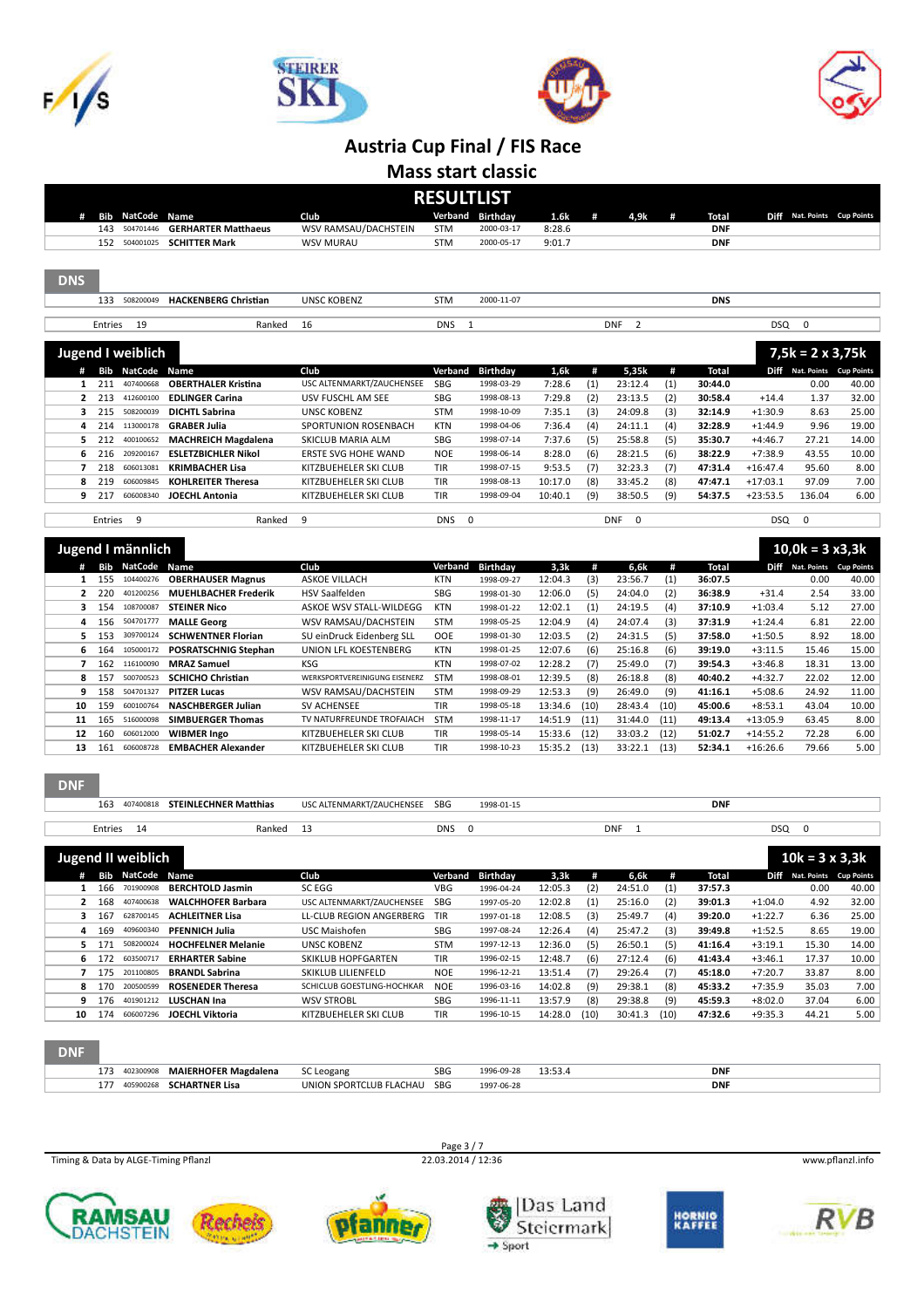







**Mass start classic**

|            | <b>RESULTLIST</b> |                         |                                  |                             |            |                  |         |     |                              |     |                |            |                         |                             |
|------------|-------------------|-------------------------|----------------------------------|-----------------------------|------------|------------------|---------|-----|------------------------------|-----|----------------|------------|-------------------------|-----------------------------|
|            | Bib               | NatCode                 | Name                             | Club                        |            | Verband Birthday | 1.6k    | #   | 4,9k                         | #   | <b>Total</b>   |            |                         | Diff Nat. Points Cup Points |
|            | 143               | 504701446               | <b>GERHARTER Matthaeus</b>       | WSV RAMSAU/DACHSTEIN        | <b>STM</b> | 2000-03-17       | 8:28.6  |     |                              |     | <b>DNF</b>     |            |                         |                             |
|            | 152               | 504001025               | <b>SCHITTER Mark</b>             | <b>WSV MURAU</b>            | <b>STM</b> | 2000-05-17       | 9:01.7  |     |                              |     | <b>DNF</b>     |            |                         |                             |
|            |                   |                         |                                  |                             |            |                  |         |     |                              |     |                |            |                         |                             |
| <b>DNS</b> |                   |                         |                                  |                             |            |                  |         |     |                              |     |                |            |                         |                             |
|            |                   | 133 508200049           | <b>HACKENBERG Christian</b>      | <b>UNSC KOBENZ</b>          | <b>STM</b> | 2000-11-07       |         |     |                              |     | <b>DNS</b>     |            |                         |                             |
|            |                   |                         |                                  |                             |            |                  |         |     |                              |     |                |            |                         |                             |
|            | Entries           | 19                      | Ranked                           | 16                          | <b>DNS</b> | -1               |         |     | $\overline{2}$<br><b>DNF</b> |     |                | DSQ        | $\mathbf 0$             |                             |
|            |                   |                         |                                  |                             |            |                  |         |     |                              |     |                |            |                         |                             |
|            |                   | Jugend I weiblich       |                                  |                             |            |                  |         |     |                              |     |                |            | $7,5k = 2 \times 3,75k$ |                             |
|            | Bib               | <b>NatCode</b>          | Name                             | Club                        | Verband    | <b>Birthday</b>  | 1,6k    | #   | 5,35k                        | #   | <b>Total</b>   |            |                         | Diff Nat. Points Cup Points |
| 1          | 211               | 407400668               | <b>OBERTHALER Kristina</b>       | USC ALTENMARKT/ZAUCHENSEE   | SBG        | 1998-03-29       | 7:28.6  | (1) | 23:12.4                      | (1) | 30:44.0        |            | 0.00                    | 40.00                       |
| 2          | 213               | 412600100               | <b>EDLINGER Carina</b>           | USV FUSCHL AM SEE           | <b>SBG</b> | 1998-08-13       | 7:29.8  | (2) | 23:13.5                      | (2) | 30:58.4        | $+14.4$    | 1.37                    | 32.00                       |
| 3          | 215               | 508200039               | <b>DICHTL Sabrina</b>            | <b>UNSC KOBENZ</b>          | <b>STM</b> | 1998-10-09       | 7:35.1  | (3) | 24:09.8                      | (3) | 32:14.9        | $+1:30.9$  | 8.63                    | 25.00                       |
| 4          | 214               | 113000178               | <b>GRABER Julia</b>              | SPORTUNION ROSENBACH        | <b>KTN</b> | 1998-04-06       | 7:36.4  | (4) | 24:11.1                      | (4) | 32:28.9        | $+1:44.9$  | 9.96                    | 19.00                       |
| 5          | 212               | 400100652               | <b>MACHREICH Magdalena</b>       | <b>SKICLUB MARIA ALM</b>    | SBG        | 1998-07-14       | 7:37.6  | (5) | 25:58.8                      | (5) | 35:30.7        | $+4:46.7$  | 27.21                   | 14.00                       |
| 6          | 216               | 209200167               | <b>ESLETZBICHLER Nikol</b>       | ERSTE SVG HOHE WAND         | <b>NOE</b> | 1998-06-14       | 8:28.0  | (6) | 28:21.5                      | (6) | 38:22.9        | $+7:38.9$  | 43.55                   | 10.00                       |
|            | 218               | 606013081               | <b>KRIMBACHER Lisa</b>           | KITZBUEHELER SKI CLUB       | <b>TIR</b> | 1998-07-15       | 9:53.5  | (7) | 32:23.3                      | (7) | 47:31.4        | $+16:47.4$ | 95.60                   | 8.00                        |
| 8          | 219               | 606009845               | <b>KOHLREITER Theresa</b>        | KITZBUEHELER SKI CLUB       | <b>TIR</b> | 1998-08-13       | 10:17.0 | (8) | 33:45.2                      | (8) | 47:47.1        | $+17:03.1$ | 97.09                   | 7.00                        |
| 9          | 217               | 606008340               | <b>JOECHL Antonia</b>            | KITZBUEHELER SKI CLUB       | <b>TIR</b> | 1998-09-04       | 10:40.1 | (9) | 38:50.5                      | (9) | 54:37.5        | $+23:53.5$ | 136.04                  | 6.00                        |
|            |                   |                         |                                  |                             |            |                  |         |     |                              |     |                |            |                         |                             |
|            | Entries           | 9                       | Ranked                           | 9                           | <b>DNS</b> | $\Omega$         |         |     | <b>DNF</b><br>0              |     |                | <b>DSQ</b> | $\mathbf 0$             |                             |
|            |                   |                         |                                  |                             |            |                  |         |     |                              |     |                |            |                         |                             |
|            | Jugend I männlich |                         |                                  |                             |            |                  |         |     |                              |     |                |            | $10,0k = 3x3,3k$        |                             |
|            |                   | <b>Bib NatCode Name</b> |                                  | Club                        | Verband    | Birthday         | 3,3k    | #   | 6,6k                         | #   | <b>Total</b>   |            |                         | Diff Nat. Points Cup Points |
| 1          | 155               | 104400276               | <b>OBERHAUSER Magnus</b>         | <b>ASKOE VILLACH</b>        | <b>KTN</b> | 1998-09-27       | 12:04.3 | (3) | 23:56.7                      | (1) | 36:07.5        |            | 0.00                    | 40.00                       |
|            | 220               | 401200256               | <b>MUEHLBACHER Frederik</b>      | <b>HSV Saalfelden</b>       | <b>SBG</b> | 1998-01-30       | 12:06.0 | (5) | 24:04.0                      | (2) | 36:38.9        | $+31.4$    | 2.54                    | 33.00                       |
| 3          | 154               | 108700087               | <b>STEINER Nico</b>              | ASKOE WSV STALL-WILDEGG     | <b>KTN</b> | 1998-01-22       | 12:02.1 | (1) | 24:19.5                      | (4) | 37:10.9        | $+1:03.4$  | 5.12                    | 27.00                       |
| 4          | 156               | 504701777               | <b>MALLE Georg</b>               | WSV RAMSAU/DACHSTEIN        | <b>STM</b> | 1998-05-25       | 12:04.9 | (4) | 24:07.4                      | (3) | 37:31.9        | $+1:24.4$  | 6.81                    | 22.00                       |
|            | 1 <sub>0</sub>    |                         | $200700124$ COUNSIDERED Flashers | CH ain David, Fidenhaus CH. | $\sim$     | 1009 01:20       | 12.02.5 | (2) | 24.24.5                      | (5) | <b>37.50 A</b> | .4.50E     | 0.02                    | 10.00                       |

|    | 153       | 309700124 | <b>SCHWENTNER Florian</b>   | SU einDruck Eidenberg SLL     | <b>OOE</b> | 1998-01-30 | 12:03.5 | (2)  | 24:31.5 | (5)  | 37:58.0 | $+1:50.5$  | 8.92  | 18.00 |
|----|-----------|-----------|-----------------------------|-------------------------------|------------|------------|---------|------|---------|------|---------|------------|-------|-------|
|    | 164<br>6. | 105000172 | <b>POSRATSCHNIG Stephan</b> | UNION LFL KOESTENBERG         | <b>KTN</b> | 1998-01-25 | 12:07.6 | (6)  | 25:16.8 | (6)  | 39:19.0 | $+3:11.5$  | 15.46 | 15.00 |
|    | 162       | 16100090  | <b>MRAZ Samuel</b>          | <b>KSG</b>                    | <b>KTN</b> | 1998-07-02 | 12:28.2 | (7)  | 25:49.0 | (7)  | 39:54.3 | $+3:46.8$  | 18.31 | 13.00 |
|    | -157      | 500700523 | <b>SCHICHO Christian</b>    | WERKSPORTVEREINIGUNG EISENERZ | <b>STM</b> | 1998-08-01 | 12:39.5 | (8)  | 26:18.8 | (8)  | 40:40.2 | $+4:32.7$  | 22.02 | 12.00 |
|    | 158       | 504701327 | <b>PITZER Lucas</b>         | WSV RAMSAU/DACHSTEIN          | <b>STM</b> | 1998-09-29 | 12:53.3 | (9)  | 26:49.0 | (9)  | 41:16.1 | $+5:08.6$  | 24.92 | 11.00 |
| 10 | 159       | 600100764 | <b>NASCHBERGER Julian</b>   | SV ACHENSEE                   | <b>TIR</b> | 1998-05-18 | 13:34.6 | (10) | 28:43.4 | (10) | 45:00.6 | $+8:53.1$  | 43.04 | 10.00 |
| 11 | 165       | 516000098 | <b>SIMBUERGER Thomas</b>    | TV NATURFREUNDE TROFAIACH     | <b>STM</b> | 1998-11-17 | 14:51.9 | (11) | 31:44.0 | (11) | 49:13.4 | $+13:05.9$ | 63.45 | 8.00  |
| 12 | 160       | 606012000 | <b>WIBMER Ingo</b>          | KITZBUEHELER SKI CLUB         | <b>TIR</b> | 1998-05-14 | 15:33.6 | (12) | 33:03.2 | (12) | 51:02.7 | $+14:55.2$ | 72.28 | 6.00  |
| 13 | 161       | 606008728 | <b>EMBACHER Alexander</b>   | KITZBUEHELER SKI CLUB         | <b>TIR</b> | 1998-10-23 | 15:35.2 | (13) | 33:22.1 | (13) | 52:34.1 | $+16:26.6$ | 79.66 | 5.00  |

#### DNF

|   | 163 | 407400818               | <b>STEINLECHNER Matthias</b> | USC ALTENMARKT/ZAUCHENSEE | <b>SBG</b>           | 1998-01-15       |          |        |                      |            | <b>DNF</b> |                      |                        |                      |
|---|-----|-------------------------|------------------------------|---------------------------|----------------------|------------------|----------|--------|----------------------|------------|------------|----------------------|------------------------|----------------------|
|   |     |                         |                              |                           |                      |                  |          |        |                      |            |            |                      |                        |                      |
|   |     | Entries 14              | Ranked                       | 13                        | <b>DNS</b>           | 0                |          |        | <b>DNF</b>           |            |            | DSQ                  | 0                      |                      |
|   |     |                         |                              |                           |                      |                  |          |        |                      |            |            |                      |                        |                      |
|   |     | Jugend II weiblich      |                              |                           |                      |                  |          |        |                      |            |            |                      | $10k = 3 \times 3,3k$  |                      |
| # |     | <b>Bib NatCode Name</b> |                              | Club                      |                      | Verband Birthday | 3,3k     | #      | 6.6k                 | #          | Total      | Diff                 | Nat. Points Cup Points |                      |
|   | 166 | 701900908               | <b>BERCHTOLD Jasmin</b>      | SC EGG                    | VBG                  | 1996-04-24       | 12:05.3  | (2)    | 24:51.0              | (1)        | 37:57.3    |                      | 0.00                   | 40.00                |
|   | 168 | 407400638               | <b>WALCHHOFER Barbara</b>    | USC ALTENMARKT/ZAUCHENSEE | <b>SBG</b>           | 1997-05-20       | 12:02.8  | (1)    | 25:16.0              | (2)        | 39:01.3    | $+1:04.0$            | 4.92                   | 32.00                |
|   | 167 | 628700145               | <b>ACHLEITNER Lisa</b>       | LL-CLUB REGION ANGERBERG  | TIR                  | 1997-01-18       | 12:08.5  | (3)    | 25:49.7              | (4)        | 39:20.0    | $+1:22.7$            | 6.36                   | 25.00                |
| 4 | 169 | 409600340               | <b>PFENNICH Julia</b>        | USC Maishofen             | <b>SBG</b>           | 1997-08-24       | 12:26.4  | (4)    | 25:47.2              | (3)        | 39:49.8    | $+1:52.5$            | 8.65                   | 19.00                |
|   |     |                         |                              | 1.11100110000010          | $\sim$ $\sim$ $\sim$ | $\cdots$         | $\cdots$ | $\sim$ | $\sim$ $\sim$ $\sim$ | $\sqrt{2}$ | .          | $\sim$ $\sim$ $\sim$ | $- - - -$              | $\sim$ $\sim$ $\sim$ |

|            | 5 171 | 508200024 | <b>HOCHFELNER Melanie</b> | UNSC KOBENZ                | <b>STM</b> | 1997-12-13 | 12:36.0 | (5)  | 26:50.1 | (5)  | 41:16.4 | $+3:19.1$ | 15.30 | 14.00 |
|------------|-------|-----------|---------------------------|----------------------------|------------|------------|---------|------|---------|------|---------|-----------|-------|-------|
|            | 6 172 | 603500717 | <b>ERHARTER Sabine</b>    | <b>SKIKLUB HOPFGARTEN</b>  | <b>TIR</b> | 1996-02-15 | 12:48.7 | (6)  | 27:12.4 | (6)  | 41:43.4 | $+3:46.1$ | 17.37 | 10.00 |
|            | 175   | 201100805 | <b>BRANDL Sabrina</b>     | SKIKLUB LILIENFELD         | <b>NOE</b> | 1996-12-21 | 13:51.4 | (7)  | 29:26.4 | (7)  | 45:18.0 | $+7:20.7$ | 33.87 | 8.00  |
|            | 8 170 | 200500599 | <b>ROSENEDER Theresa</b>  | SCHICLUB GOESTLING-HOCHKAR | <b>NOE</b> | 1996-03-16 | 14:02.8 | (9)  | 29:38.1 | (8)  | 45:33.2 | $+7:35.9$ | 35.03 | 7.00  |
|            | 9 176 | 401901212 | LUSCHAN Ina               | <b>WSV STROBL</b>          | <b>SBG</b> | 1996-11-11 | 13:57.9 | (8)  | 29:38.8 | (9)  | 45:59.3 | $+8:02.0$ | 37.04 | 6.00  |
| 10         | 174   | 606007296 | <b>JOECHL Viktoria</b>    | KITZBUEHELER SKI CLUB      | <b>TIR</b> | 1996-10-15 | 14:28.0 | (10) | 30:41.3 | (10) | 47:32.6 | $+9:35.3$ | 44.21 | 5.00  |
|            |       |           |                           |                            |            |            |         |      |         |      |         |           |       |       |
| <b>DNF</b> |       |           |                           |                            |            |            |         |      |         |      |         |           |       |       |

| ___ |     |           |                             |                         |     |            |        |            |
|-----|-----|-----------|-----------------------------|-------------------------|-----|------------|--------|------------|
|     | 173 | 402300908 | <b>MAIERHOFER Magdalena</b> | SC Leogang              | SBG | 1996-09-28 | 13:53. | <b>DNI</b> |
|     | 177 | 405900268 | <b>SCHARTNER Lisa</b>       | UNION SPORTCLUB FLACHAU | SBG | 1997-06-28 |        | <b>DNI</b> |
|     |     |           |                             |                         |     |            |        |            |

Timing & Data by ALGE-Timing Pflanzl 22.03.2014 / 12:36 www.pflanzl.info

Page 3 / 7<br>22.03.2014 / 12:36













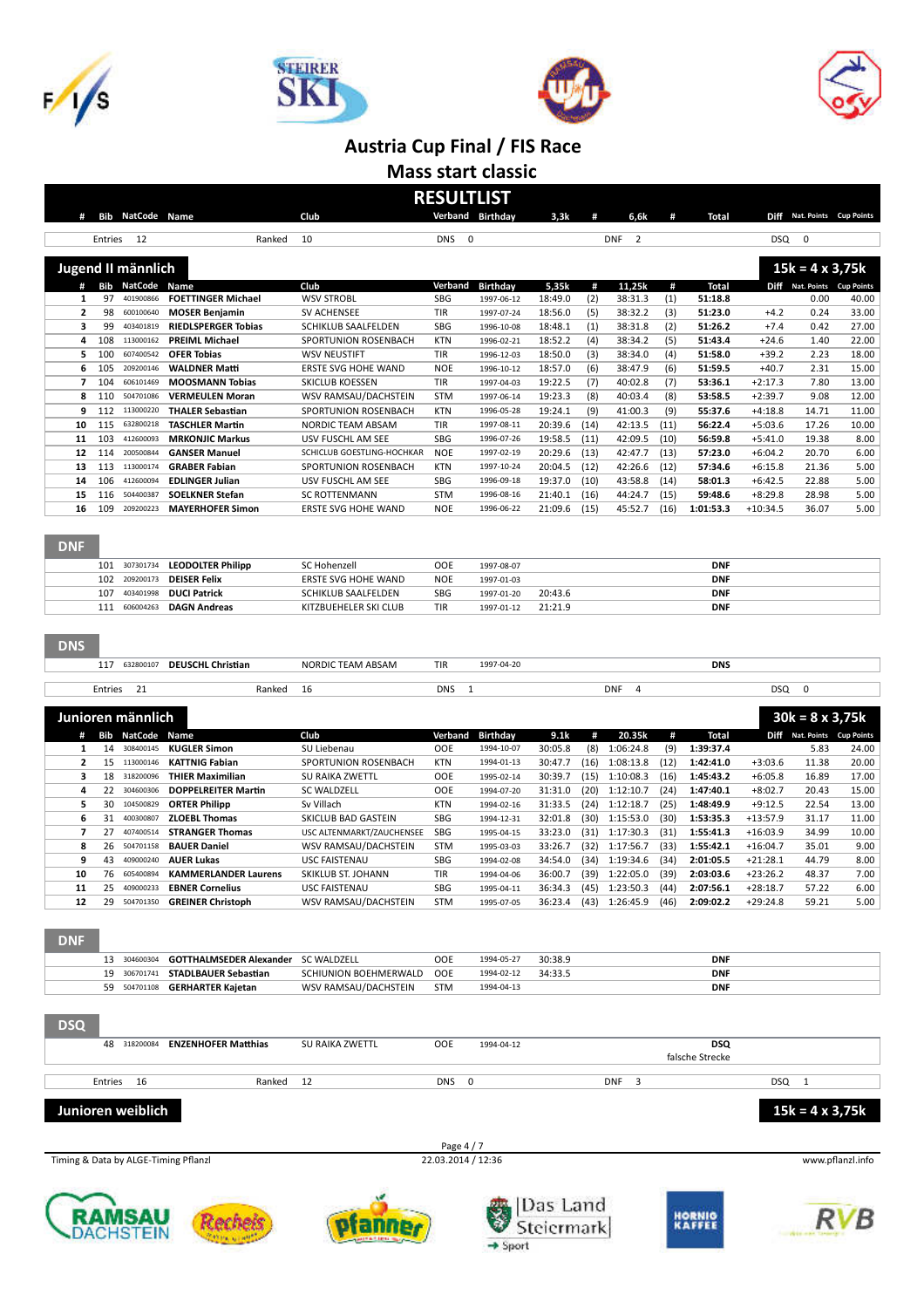







#### **Austria Cup Final / FIS Race Mass start classic**

| #              |            | <b>Bib NatCode Name</b> |                                                     | Club                                        | <b>RESULTLIST</b>        | Verband Birthday              | 3,3k               | #            | 6,6k                         | #            | Total                         |                          | Diff Nat. Points Cup Points         |                |
|----------------|------------|-------------------------|-----------------------------------------------------|---------------------------------------------|--------------------------|-------------------------------|--------------------|--------------|------------------------------|--------------|-------------------------------|--------------------------|-------------------------------------|----------------|
|                | Entries    | 12                      | Ranked                                              | 10                                          | <b>DNS</b>               | 0                             |                    |              | <b>DNF</b><br>$\overline{2}$ |              |                               | <b>DSQ</b>               | 0                                   |                |
|                |            | Jugend II männlich      |                                                     |                                             |                          |                               |                    |              |                              |              |                               |                          | $15k = 4 \times 3,75k$              |                |
| #              |            | <b>Bib NatCode</b>      | Name                                                | Club                                        | Verband                  | <b>Birthday</b>               | 5,35k              | #            | 11,25k                       | #            | <b>Total</b>                  |                          | Diff Nat. Points Cup Points         |                |
| 1              | 97         | 401900866               | <b>FOETTINGER Michael</b>                           | <b>WSV STROBL</b>                           | <b>SBG</b>               | 1997-06-12                    | 18:49.0            | (2)          | 38:31.3                      | (1)          | 51:18.8                       |                          | 0.00                                | 40.00          |
| 2              | 98         | 600100640               | <b>MOSER Benjamin</b>                               | <b>SV ACHENSEE</b>                          | <b>TIR</b>               | 1997-07-24                    | 18:56.0            | (5)          | 38:32.2                      | (3)          | 51:23.0                       | $+4.2$                   | 0.24                                | 33.00          |
| 3<br>4         | 99<br>108  | 403401819<br>113000162  | <b>RIEDLSPERGER Tobias</b><br><b>PREIML Michael</b> | SCHIKLUB SAALFELDEN<br>SPORTUNION ROSENBACH | <b>SBG</b><br><b>KTN</b> | 1996-10-08<br>1996-02-21      | 18:48.1<br>18:52.2 | (1)<br>(4)   | 38:31.8<br>38:34.2           | (2)<br>(5)   | 51:26.2<br>51:43.4            | $+7.4$<br>$+24.6$        | 0.42<br>1.40                        | 27.00<br>22.00 |
| 5              | 100        | 607400542               | <b>OFER Tobias</b>                                  | <b>WSV NEUSTIFT</b>                         | TIR                      | 1996-12-03                    | 18:50.0            | (3)          | 38:34.0                      | (4)          | 51:58.0                       | $+39.2$                  | 2.23                                | 18.00          |
| 6              | 105        | 209200146               | <b>WALDNER Matti</b>                                | <b>ERSTE SVG HOHE WAND</b>                  | <b>NOE</b>               | 1996-10-12                    | 18:57.0            | (6)          | 38:47.9                      | (6)          | 51:59.5                       | $+40.7$                  | 2.31                                | 15.00          |
| $\overline{ }$ | 104        | 606101469               | <b>MOOSMANN Tobias</b>                              | SKICLUB KOESSEN                             | TIR                      | 1997-04-03                    | 19:22.5            | (7)          | 40:02.8                      | (7)          | 53:36.1                       | $+2:17.3$                | 7.80                                | 13.00          |
| 8              | 110        | 504701086               | <b>VERMEULEN Moran</b>                              | WSV RAMSAU/DACHSTEIN                        | <b>STM</b>               | 1997-06-14                    | 19:23.3            | (8)          | 40:03.4                      | (8)          | 53:58.5                       | $+2:39.7$                | 9.08                                | 12.00          |
| 9              | 112        | 113000220               | <b>THALER Sebastian</b>                             | SPORTUNION ROSENBACH                        | <b>KTN</b>               | 1996-05-28                    | 19:24.1            | (9)          | 41:00.3                      | (9)          | 55:37.6                       | $+4:18.8$                | 14.71                               | 11.00          |
| 10<br>11       | 115<br>103 | 632800218<br>412600093  | <b>TASCHLER Martin</b><br><b>MRKONJIC Markus</b>    | NORDIC TEAM ABSAM<br>USV FUSCHL AM SEE      | TIR<br><b>SBG</b>        | 1997-08-11                    | 20:39.6<br>19:58.5 | (14)         | 42:13.5<br>42:09.5           | (11)         | 56:22.4<br>56:59.8            | $+5:03.6$<br>$+5:41.0$   | 17.26<br>19.38                      | 10.00          |
| 12             | 114        | 200500844               | <b>GANSER Manuel</b>                                | SCHICLUB GOESTLING-HOCHKAR                  | <b>NOE</b>               | 1996-07-26<br>1997-02-19      | 20:29.6            | (11)<br>(13) | 42:47.7                      | (10)<br>(13) | 57:23.0                       | $+6:04.2$                | 20.70                               | 8.00           |
| 13             | 113        | 113000174               | <b>GRABER Fabian</b>                                | SPORTUNION ROSENBACH                        | <b>KTN</b>               | 1997-10-24                    | 20:04.5            | (12)         | 42:26.6                      | (12)         | 57:34.6                       | $+6:15.8$                | 21.36                               |                |
| 14             | 106        | 412600094               | <b>EDLINGER Julian</b>                              | USV FUSCHL AM SEE                           | <b>SBG</b>               | 1996-09-18                    | 19:37.0            | (10)         | 43:58.8                      | (14)         | 58:01.3                       | $+6:42.5$                | 22.88                               |                |
| 15             | 116        | 504400387               | <b>SOELKNER Stefan</b>                              | <b>SC ROTTENMANN</b>                        | <b>STM</b>               | 1996-08-16                    | 21:40.1            | (16)         | 44:24.7                      | (15)         | 59:48.6                       | $+8:29.8$                | 28.98                               |                |
| 16             | 109        | 209200223               | <b>MAYERHOFER Simon</b>                             | <b>ERSTE SVG HOHE WAND</b>                  | <b>NOE</b>               | 1996-06-22                    | 21:09.6            | (15)         | 45:52.7                      | (16)         | 1:01:53.3                     | $+10:34.5$               | 36.07                               |                |
| <b>DNF</b>     |            |                         |                                                     |                                             |                          |                               |                    |              |                              |              |                               |                          |                                     |                |
|                | 101        | 307301734               | <b>LEODOLTER Philipp</b>                            | SC Hohenzell                                | <b>OOE</b>               | 1997-08-07                    |                    |              |                              |              | <b>DNF</b>                    |                          |                                     |                |
|                | 102        | 209200173               | <b>DEISER Felix</b>                                 | ERSTE SVG HOHE WAND                         | <b>NOE</b>               | 1997-01-03                    |                    |              |                              |              | <b>DNF</b>                    |                          |                                     |                |
|                | 107        | 403401998               | <b>DUCI Patrick</b>                                 | SCHIKLUB SAALFELDEN                         | <b>SBG</b>               | 1997-01-20                    | 20:43.6            |              |                              |              | <b>DNF</b>                    |                          |                                     |                |
|                | 111        | 606004263               | <b>DAGN Andreas</b>                                 | KITZBUEHELER SKI CLUB                       | TIR                      | 1997-01-12                    | 21:21.9            |              |                              |              | <b>DNF</b>                    |                          |                                     |                |
| <b>DNS</b>     |            |                         |                                                     |                                             |                          |                               |                    |              |                              |              |                               |                          |                                     |                |
|                | 117        | 632800107               | <b>DEUSCHL Christian</b>                            | NORDIC TEAM ABSAM                           | TIR                      | 1997-04-20                    |                    |              |                              |              | <b>DNS</b>                    |                          |                                     |                |
|                | Entries    | 21                      | Ranked                                              | 16                                          | <b>DNS</b>               | 1                             |                    |              | <b>DNF</b><br>4              |              |                               | <b>DSQ</b>               | $\mathbf 0$                         |                |
|                |            | Junioren männlich       |                                                     |                                             |                          |                               |                    |              |                              |              |                               |                          | $30k = 8 \times 3,75k$              |                |
| #<br>1         | Bib<br>14  | NatCode<br>308400145    | Name<br><b>KUGLER Simon</b>                         | Club<br>SU Liebenau                         | Verband<br><b>OOE</b>    | <b>Birthday</b><br>1994-10-07 | 9.1k<br>30:05.8    | #<br>(8)     | 20.35k<br>1:06:24.8          | #<br>(9)     | <b>Total</b><br>1:39:37.4     |                          | Diff Nat. Points Cup Points<br>5.83 | 24.00          |
| $\overline{2}$ | 15         | 113000146               | <b>KATTNIG Fabian</b>                               | SPORTUNION ROSENBACH                        | <b>KTN</b>               | 1994-01-13                    | 30:47.7            | (16)         | 1:08:13.8                    | (12)         | 1:42:41.0                     | $+3:03.6$                | 11.38                               | 20.00          |
| з              | 18         | 318200096               | <b>THIER Maximilian</b>                             | SU RAIKA ZWETTL                             | <b>OOE</b>               | 1995-02-14                    | 30:39.7            | (15)         | 1:10:08.3                    | (16)         | 1:45:43.2                     | $+6:05.8$                | 16.89                               | 17.00          |
| 4              | 22         | 304600306               | <b>DOPPELREITER Martin</b>                          | <b>SC WALDZELL</b>                          | <b>OOE</b>               | 1994-07-20                    | 31:31.0            | (20)         | 1:12:10.7                    | (24)         | 1:47:40.1                     | $+8:02.7$                | 20.43                               | 15.00          |
| 5              | 30         | 104500829               | <b>ORTER Philipp</b>                                | Sv Villach                                  | <b>KTN</b>               | 1994-02-16                    | 31:33.5            | (24)         | 1:12:18.7                    | (25)         | 1:48:49.9                     | $+9:12.5$                | 22.54                               | 13.00          |
| 6              | 31         | 400300807               | <b>ZLOEBL Thomas</b>                                | SKICLUB BAD GASTEIN                         | <b>SBG</b>               | 1994-12-31                    | 32:01.8            | (30)         | 1:15:53.0                    | (30)         | 1:53:35.3                     | $+13:57.9$               | 31.17                               | 11.00          |
| 7              | 27         | 407400514               | <b>STRANGER Thomas</b>                              | USC ALTENMARKT/ZAUCHENSEE                   | SBG                      | 1995-04-15                    | 33:23.0            | (31)         | 1:17:30.3                    | (31)         | 1:55:41.3                     | $+16:03.9$               | 34.99                               | 10.00          |
| 8              | 26         | 504701158<br>409000240  | <b>BAUER Daniel</b>                                 | WSV RAMSAU/DACHSTEIN                        | <b>STM</b>               | 1995-03-03                    | 33:26.7            | (32)         | 1:17:56.7                    | (33)         | 1:55:42.1                     | $+16:04.7$               | 35.01                               |                |
| 9<br>10        | 43<br>76   | 605400894               | <b>AUER Lukas</b><br><b>KAMMERLANDER Laurens</b>    | <b>USC FAISTENAU</b><br>SKIKLUB ST. JOHANN  | <b>SBG</b><br><b>TIR</b> | 1994-02-08<br>1994-04-06      | 34:54.0<br>36:00.7 | (34)<br>(39) | 1:19:34.6<br>1:22:05.0       | (34)<br>(39) | 2:01:05.5<br>2:03:03.6        | $+21:28.1$<br>$+23:26.2$ | 44.79<br>48.37                      |                |
| 11             | 25         | 409000233               | <b>EBNER Cornelius</b>                              | USC FAISTENAU                               | SBG                      | 1995-04-11                    | 36:34.3            | (45)         | 1:23:50.3                    | (44)         | 2:07:56.1                     | $+28:18.7$               | 57.22                               |                |
| 12             | 29         | 504701350               | <b>GREINER Christoph</b>                            | WSV RAMSAU/DACHSTEIN                        | <b>STM</b>               | 1995-07-05                    | 36:23.4            | (43)         | 1:26:45.9                    | (46)         | 2:09:02.2                     | $+29:24.8$               | 59.21                               |                |
| <b>DNF</b>     |            |                         |                                                     |                                             |                          |                               |                    |              |                              |              |                               |                          |                                     |                |
|                |            | 13 304600304            | GOTTHALMSEDER Alexander SC WALDZELL                 |                                             | <b>OOE</b>               | 1994-05-27                    | 30:38.9            |              |                              |              | <b>DNF</b>                    |                          |                                     |                |
|                |            | 19 306701741            | <b>STADLBAUER Sebastian</b>                         | SCHIUNION BOEHMERWALD                       | OOE                      | 1994-02-12                    | 34:33.5            |              |                              |              | <b>DNF</b>                    |                          |                                     |                |
|                |            | 59 504701108            | <b>GERHARTER Kajetan</b>                            | WSV RAMSAU/DACHSTEIN                        | <b>STM</b>               | 1994-04-13                    |                    |              |                              |              | <b>DNF</b>                    |                          |                                     |                |
|                |            |                         |                                                     |                                             |                          |                               |                    |              |                              |              |                               |                          |                                     |                |
| <b>DSQ</b>     |            |                         |                                                     |                                             |                          |                               |                    |              |                              |              |                               |                          |                                     |                |
|                |            | 48 318200084            | <b>ENZENHOFER Matthias</b>                          | SU RAIKA ZWETTL                             | OOE                      | 1994-04-12                    |                    |              |                              |              | <b>DSQ</b><br>falsche Strecke |                          |                                     |                |
|                | Entries    | 16                      | Ranked                                              | 12                                          | DNS                      | 0                             |                    |              | <b>DNF</b><br>3              |              |                               | DSQ                      | $\overline{1}$                      |                |
|                |            | Junioren weiblich       |                                                     |                                             |                          |                               |                    |              |                              |              |                               |                          | $15k = 4 \times 3,75k$              |                |
|                |            |                         |                                                     |                                             | Page 4 / 7               |                               |                    |              |                              |              |                               |                          |                                     |                |
|                |            |                         | Timing & Data by ALGE-Timing Pflanzl                |                                             | 22.03.2014 / 12:36       |                               |                    |              |                              |              |                               |                          | www.pflanzl.info                    |                |

 $\rightarrow$  Sport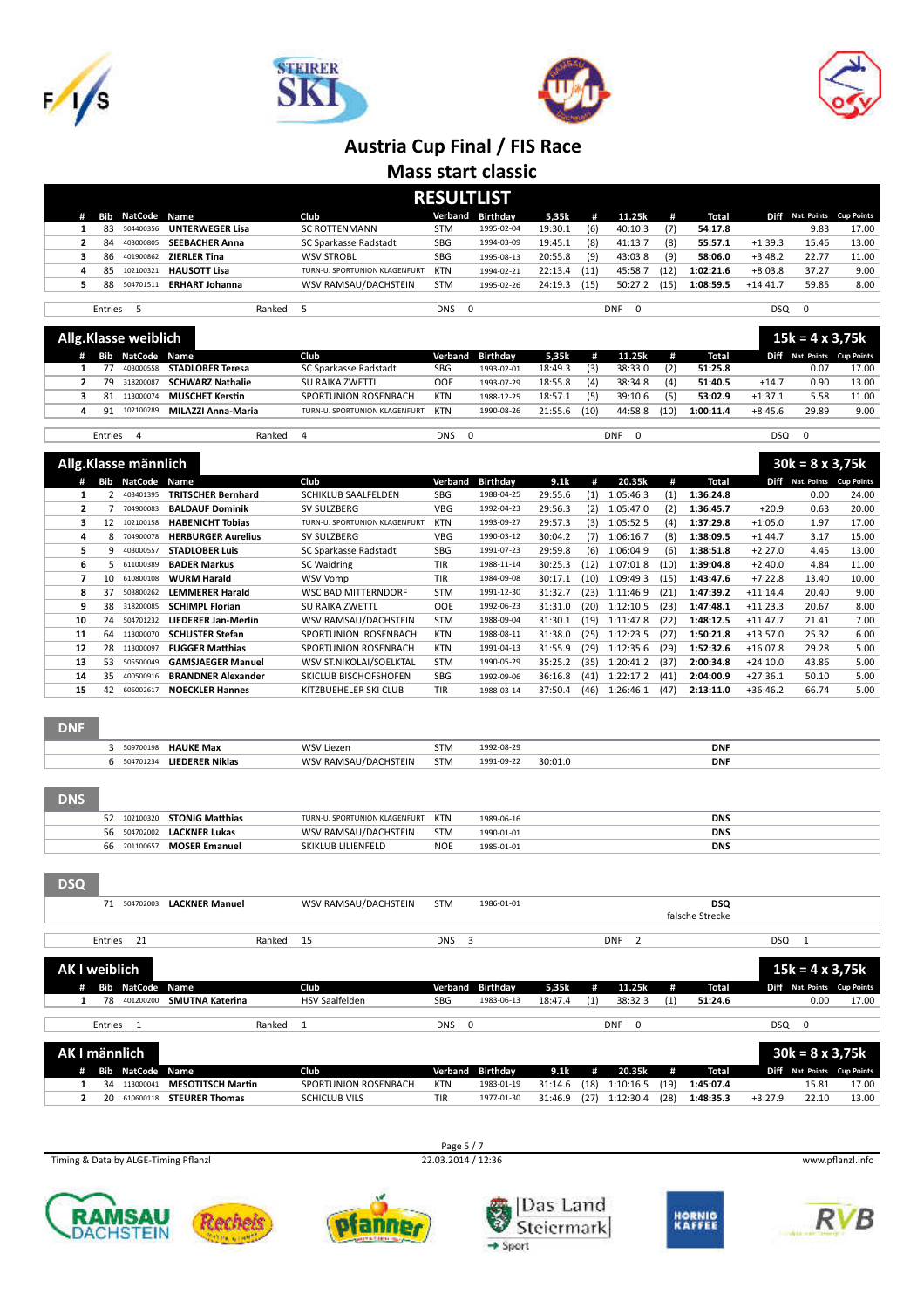







**Mass start classic**

| <b>RESULTLIST</b>                                                               |    |                         |                        |  |                               |            |                 |         |      |         |      |           |                         |       |                        |
|---------------------------------------------------------------------------------|----|-------------------------|------------------------|--|-------------------------------|------------|-----------------|---------|------|---------|------|-----------|-------------------------|-------|------------------------|
| #                                                                               |    | <b>Bib NatCode Name</b> |                        |  | Club                          | Verband    | <b>Birthday</b> | 5,35k   | #    | 11.25k  | #    | Total     | Diff                    |       | Nat. Points Cup Points |
|                                                                                 | 83 | 504400356               | <b>UNTERWEGER Lisa</b> |  | <b>SC ROTTENMANN</b>          | <b>STM</b> | 1995-02-04      | 19:30.1 | (6)  | 40:10.3 | (7)  | 54:17.8   |                         | 9.83  | 17.00                  |
|                                                                                 | 84 | 403000805               | <b>SEEBACHER Anna</b>  |  | SC Sparkasse Radstadt         | SBG        | 1994-03-09      | 19:45.1 | (8)  | 41:13.7 | (8)  | 55:57.1   | $+1:39.3$               | 15.46 | 13.00                  |
|                                                                                 | 86 | 401900862               | <b>ZIERLER Tina</b>    |  | <b>WSV STROBL</b>             | SBG        | 1995-08-13      | 20:55.8 | (9)  | 43:03.8 | (9)  | 58:06.0   | $+3:48.2$               | 22.77 | 11.00                  |
| 4                                                                               | 85 | 102100321               | <b>HAUSOTT Lisa</b>    |  | TURN-U. SPORTUNION KLAGENFURT | KTN        | 1994-02-21      | 22:13.4 | (11) | 45:58.7 | (12) | 1:02:21.6 | $+8:03.8$               | 37.27 | 9.00                   |
| 5.                                                                              | 88 | 504701511               | <b>ERHART Johanna</b>  |  | WSV RAMSAU/DACHSTEIN          | <b>STM</b> | 1995-02-26      | 24:19.3 | (15) | 50:27.2 | (15) | 1:08:59.5 | $+14:41.7$              | 59.85 | 8.00                   |
|                                                                                 |    |                         |                        |  |                               |            |                 |         |      |         |      |           |                         |       |                        |
| Entries 5<br>Ranked<br><b>DNS</b><br>$\overline{0}$<br><b>DNF</b><br>$^{\circ}$ |    |                         |                        |  |                               |            |                 |         |      |         |      | DSQ       | $\overline{\mathbf{0}}$ |       |                        |
| $-11 - 11$                                                                      |    | .                       |                        |  |                               |            |                 |         |      |         |      |           | .                       |       | ---                    |

| Allg.Klasse weiblich |  |    |                  |                         |                               |            |            |         |      |         |      |           |           | $15k = 4 \times 3,75k$ |                             |  |
|----------------------|--|----|------------------|-------------------------|-------------------------------|------------|------------|---------|------|---------|------|-----------|-----------|------------------------|-----------------------------|--|
|                      |  |    | Bib NatCode Name |                         | Club                          | Verband    | Birthday   | 5,35k   | Æ    | 11.25k  | #    | Total     |           |                        | Diff Nat. Points Cup Points |  |
|                      |  |    | 403000558        | <b>STADLOBER Teresa</b> | SC Sparkasse Radstadt         | <b>SBG</b> | 1993-02-01 | 18:49.3 | (3)  | 38:33.0 | (2)  | 51:25.8   |           | 0.07                   | 17.00                       |  |
|                      |  | 79 | 318200087        | <b>SCHWARZ Nathalie</b> | <b>SU RAIKA ZWETTL</b>        | <b>OOE</b> | 1993-07-29 | 18:55.8 | (4)  | 38:34.8 | (4)  | 51:40.5   | $+14.7$   | 0.90                   | 13.00                       |  |
|                      |  | 81 | 113000074        | MUSCHET Kerstin         | SPORTUNION ROSENBACH          | <b>KTN</b> | 1988-12-25 | 18:57.1 | (5)  | 39:10.6 | (5)  | 53:02.9   | $+1:37.1$ | 5.58                   | 11.00                       |  |
|                      |  | 91 | 102100289        | MILAZZI Anna-Maria      | TURN-U. SPORTUNION KLAGENFURT | KTN        | 1990-08-26 | 21:55.6 | (10) | 44:58.8 | (10) | 1:00:11.4 | $+8:45.6$ | 29.89                  | 9.00                        |  |
|                      |  |    |                  |                         |                               |            |            |         |      |         |      |           |           |                        |                             |  |

| "Klasse männlich"<br>Alig.Kias |        |            |            | --<br>. .<br>אי<br>. |
|--------------------------------|--------|------------|------------|----------------------|
| Entries                        | Ranked | <b>DNS</b> | <b>DNF</b> | <b>DSQ</b>           |

|    | #                    | <b>Bib</b> NatCode | Name                       | Club                          | Verband    | <b>Birthday</b> | 9.1k    | #    | 20.35k    | #    | Total     | <b>Diff</b> | <b>Nat. Points</b> | <b>Cup Points</b> |
|----|----------------------|--------------------|----------------------------|-------------------------------|------------|-----------------|---------|------|-----------|------|-----------|-------------|--------------------|-------------------|
|    |                      | 403401395          | TRITSCHER Bernhard         | SCHIKLUB SAALFELDEN           | SBG        | 1988-04-25      | 29:55.6 | (1)  | 1:05:46.3 | (1)  | 1:36:24.8 |             | 0.00               | 24.00             |
|    | 2                    | 704900083          | <b>BALDAUF Dominik</b>     | SV SULZBERG                   | <b>VBG</b> | 1992-04-23      | 29:56.3 | (2)  | 1:05:47.0 | (2)  | 1:36:45.7 | $+20.9$     | 0.63               | 20.00             |
|    | 3<br>12              | 102100158          | <b>HABENICHT Tobias</b>    | TURN-U. SPORTUNION KLAGENFURT | KTN        | 1993-09-27      | 29:57.3 | (3)  | 1:05:52.5 | (4)  | 1:37:29.8 | $+1:05.0$   | 1.97               | 17.00             |
|    | 8<br>4               | 704900078          | <b>HERBURGER Aurelius</b>  | SV SULZBERG                   | VBG        | 1990-03-12      | 30:04.2 | (7)  | 1:06:16.7 | (8)  | 1:38:09.5 | $+1:44.7$   | 3.17               | 15.00             |
|    | 5.<br>9              | 403000557          | <b>STADLOBER Luis</b>      | SC Sparkasse Radstadt         | SBG        | 1991-07-23      | 29:59.8 | (6)  | 1:06:04.9 | (6)  | 1:38:51.8 | $+2:27.0$   | 4.45               | 13.00             |
|    | 6<br>5.              | 611000389          | <b>BADER Markus</b>        | SC Waidring                   | <b>TIR</b> | 1988-11-14      | 30:25.3 | (12) | 1:07:01.8 | (10) | 1:39:04.8 | $+2:40.0$   | 4.84               | 11.00             |
|    | 7<br>10 <sup>2</sup> | 610800108          | <b>WURM Harald</b>         | WSV Vomp                      | <b>TIR</b> | 1984-09-08      | 30:17.1 | (10) | 1:09:49.3 | (15) | 1:43:47.6 | $+7:22.8$   | 13.40              | 10.00             |
|    | 8<br>37              | 503800262          | <b>LEMMERER Harald</b>     | <b>WSC BAD MITTERNDORF</b>    | <b>STM</b> | 1991-12-30      | 31:32.7 | (23) | 1:11:46.9 | (21) | 1:47:39.2 | $+11:14.4$  | 20.40              | 9.00              |
|    | 9<br>38              | 318200085          | <b>SCHIMPL Florian</b>     | <b>SU RAIKA ZWETTL</b>        | <b>OOE</b> | 1992-06-23      | 31:31.0 | (20) | 1:12:10.5 | (23) | 1:47:48.1 | $+11:23.3$  | 20.67              | 8.00              |
| 10 | 24                   | 504701232          | <b>LIEDERER Jan-Merlin</b> | WSV RAMSAU/DACHSTEIN          | <b>STM</b> | 1988-09-04      | 31:30.1 | (19) | 1:11:47.8 | (22) | 1:48:12.5 | $+11:47.7$  | 21.41              | 7.00              |
|    | 11<br>64             | 113000070          | <b>SCHUSTER Stefan</b>     | SPORTUNION ROSENBACH          | <b>KTN</b> | 1988-08-11      | 31:38.0 | (25) | 1:12:23.5 | (27) | 1:50:21.8 | $+13:57.0$  | 25.32              | 6.00              |
|    | 12<br>28             | 113000097          | <b>FUGGER Matthias</b>     | SPORTUNION ROSENBACH          | <b>KTN</b> | 1991-04-13      | 31:55.9 | (29) | 1:12:35.6 | (29) | 1:52:32.6 | $+16:07.8$  | 29.28              | 5.00              |
|    | 13<br>53             | 505500049          | <b>GAMSJAEGER Manuel</b>   | WSV ST.NIKOLAI/SOELKTAL       | <b>STM</b> | 1990-05-29      | 35:25.2 | (35) | 1:20:41.2 | (37) | 2:00:34.8 | $+24:10.0$  | 43.86              | 5.00              |
|    | 14<br>35             | 400500916          | <b>BRANDNER Alexander</b>  | SKICLUB BISCHOFSHOFEN         | SBG        | 1992-09-06      | 36:16.8 | (41) | 1:22:17.2 | (41) | 2:04:00.9 | $+27:36.1$  | 50.10              | 5.00              |
|    | 15<br>42             | 606002617          | <b>NOECKLER Hannes</b>     | KITZBUEHELER SKI CLUB         | <b>TIR</b> | 1988-03-14      | 37:50.4 | (46) | 1:26:46.1 | (47) | 2:13:11.0 | $+36:46.2$  | 66.74              | 5.00              |

#### DNF

|  | 50970019 | <b>HAUKE May</b> | <b>MIC</b><br>lezen.                            | ۱۷۱ د      | $100^{\circ}$<br>.∩ൊവ |       | <b>DNF</b> |
|--|----------|------------------|-------------------------------------------------|------------|-----------------------|-------|------------|
|  |          | LIEDERER Niklas  | <b>AIC</b><br>$\sim$ $\Lambda$ $\Lambda$ $\sim$ | <b>STM</b> | 1991-09-22            | 30:01 | <b>DNF</b> |

| <b>DNS</b> |              |                              |                               |            |            |            |
|------------|--------------|------------------------------|-------------------------------|------------|------------|------------|
|            |              | 52 102100320 STONIG Matthias | TURN-U. SPORTUNION KLAGENFURT | KTN        | 1989-06-16 | <b>DNS</b> |
|            |              | 56 504702002 LACKNER Lukas   | WSV RAMSAU/DACHSTEIN          | <b>STM</b> | 1990-01-01 | <b>DNS</b> |
|            | 66 201100657 | <b>MOSER Emanuel</b>         | SKIKLUB LILIENFELD            | <b>NOE</b> | 1985-01-01 | <b>DNS</b> |
|            |              |                              |                               |            |            |            |

| <b>DSQ</b>           |         |                         |                        |        |                       |            |                  |         |     |                 |     |                 |            |      |                             |
|----------------------|---------|-------------------------|------------------------|--------|-----------------------|------------|------------------|---------|-----|-----------------|-----|-----------------|------------|------|-----------------------------|
|                      | 71      | 504702003               | <b>LACKNER Manuel</b>  |        | WSV RAMSAU/DACHSTEIN  | <b>STM</b> | 1986-01-01       |         |     |                 |     | <b>DSQ</b>      |            |      |                             |
|                      |         |                         |                        |        |                       |            |                  |         |     |                 |     | falsche Strecke |            |      |                             |
|                      |         |                         |                        |        |                       |            |                  |         |     |                 |     |                 |            |      |                             |
|                      |         | Entries 21              |                        | Ranked | - 15                  | DNS        | 3                |         |     | <b>DNF</b>      |     |                 | <b>DSQ</b> |      |                             |
|                      |         |                         |                        |        |                       |            |                  |         |     |                 |     |                 |            |      |                             |
| <b>AK I weiblich</b> |         |                         |                        |        |                       |            |                  |         |     |                 |     |                 |            |      | $15k = 4 \times 3,75k$      |
| #                    |         | <b>Bib NatCode Name</b> |                        |        | Club                  |            | Verband Birthday | 5,35k   | #   | 11.25k          | #   | Total           |            |      | Diff Nat. Points Cup Points |
|                      | 78      | 401200200               | <b>SMUTNA Katerina</b> |        | <b>HSV Saalfelden</b> | SBG        | 1983-06-13       | 18:47.4 | (1) | 38:32.3         | (1) | 51:24.6         |            | 0.00 | 17.00                       |
|                      |         |                         |                        |        |                       |            |                  |         |     |                 |     |                 |            |      |                             |
|                      | Entries |                         |                        | Ranked |                       | <b>DNS</b> | $\Omega$         |         |     | <b>DNF</b><br>0 |     |                 | <b>DSQ</b> | 0    |                             |

|   | AK I männlich    |                                    |                      |            |                  |         |      |           |      |           |           | $30k = 8 \times 3,75k$ |                             |
|---|------------------|------------------------------------|----------------------|------------|------------------|---------|------|-----------|------|-----------|-----------|------------------------|-----------------------------|
| # | Bib NatCode Name |                                    | Club                 |            | Verband Birthdav | 9.1k    | #    | 20.35k    | #    | Total     |           |                        | Diff Nat. Points Cup Points |
|   | 34 113000041     | <b>MESOTITSCH Martin</b>           | SPORTUNION ROSENBACH | <b>KTN</b> | 1983-01-19       | 31:14.6 | (18) | 1:10:16.5 | (19) | 1:45:07.4 |           | 15.81                  | 17.00                       |
|   |                  | 20 610600118 <b>STEURER Thomas</b> | <b>SCHICLUB VILS</b> | <b>TIR</b> | 1977-01-30       | 31:46.9 | (27) | 1:12:30.4 | (28) | 1:48:35.3 | $+3:27.9$ | 22.10                  | 13.00                       |

Timing & Data by ALGE-Timing Pflanzl 22.03.2014 / 12:36 www.pflanzl.info

Page 5 / 7<br>22.03.2014 / 12:36











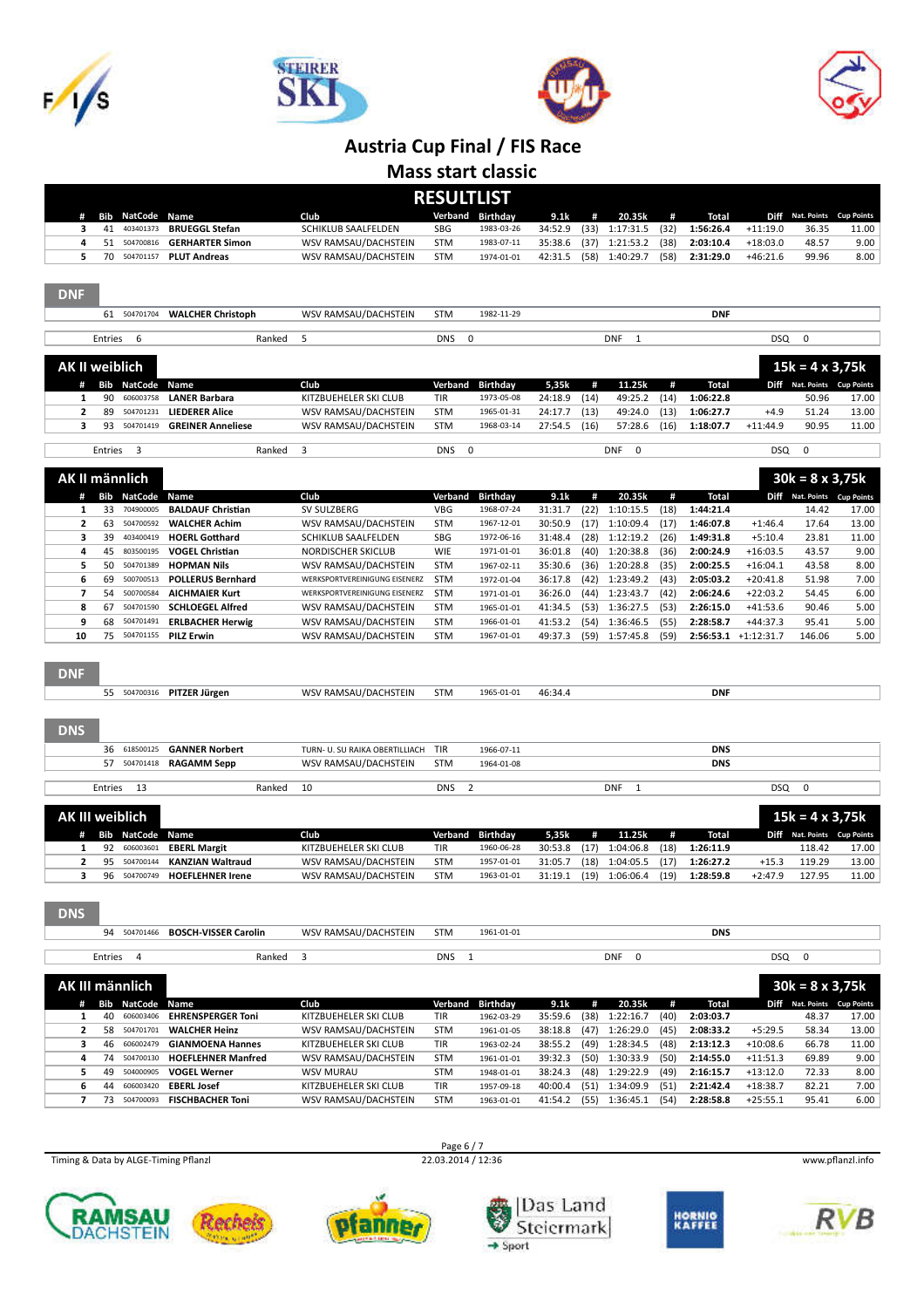







**Mass start classic**

|                          |          |                        |                                               |                                           | <b>RESULTLIST</b>            |                          |                    |              |                           |              |                        |                         |                                                       |               |
|--------------------------|----------|------------------------|-----------------------------------------------|-------------------------------------------|------------------------------|--------------------------|--------------------|--------------|---------------------------|--------------|------------------------|-------------------------|-------------------------------------------------------|---------------|
| #                        |          | <b>Bib NatCode</b>     | Name                                          | Club                                      |                              | Verband Birthday         | 9.1k               | #            | 20.35k                    | #            | Total                  |                         | Diff Nat. Points Cup Points                           |               |
| з                        | 41       | 403401373              | <b>BRUEGGL Stefan</b>                         | SCHIKLUB SAALFELDEN                       | <b>SBG</b>                   | 1983-03-26               | 34:52.9            | (33)         | 1:17:31.5                 | (32)         | 1:56:26.4              | $+11:19.0$              | 36.35                                                 | 11.00         |
| 4                        | 51       | 504700816              | <b>GERHARTER Simon</b>                        | WSV RAMSAU/DACHSTEIN                      | <b>STM</b>                   | 1983-07-11               | 35:38.6            | (37)         | 1:21:53.2                 | (38)         | 2:03:10.4              | $+18:03.0$              | 48.57                                                 | 9.00          |
| 5                        | 70       | 504701157              | <b>PLUT Andreas</b>                           | WSV RAMSAU/DACHSTEIN                      | <b>STM</b>                   | 1974-01-01               | 42:31.5            | (58)         | 1:40:29.7                 | (58)         | 2:31:29.0              | $+46:21.6$              | 99.96                                                 | 8.00          |
| <b>DNF</b>               |          |                        |                                               |                                           |                              |                          |                    |              |                           |              |                        |                         |                                                       |               |
|                          |          | 61 504701704           | <b>WALCHER Christoph</b>                      | WSV RAMSAU/DACHSTEIN                      | <b>STM</b>                   | 1982-11-29               |                    |              |                           |              | <b>DNF</b>             |                         |                                                       |               |
|                          | Entries  | 6                      | Ranked                                        | 5                                         | <b>DNS</b><br>0              |                          |                    |              | <b>DNF</b><br>1           |              |                        | <b>DSQ</b>              | 0                                                     |               |
| <b>AK II weiblich</b>    |          |                        |                                               |                                           |                              |                          |                    |              |                           |              |                        |                         | $15k = 4 \times 3,75k$                                |               |
| #                        |          | <b>Bib NatCode</b>     | Name                                          | Club                                      | Verband                      | <b>Birthday</b>          | 5,35k              | #            | 11.25k                    | #            | <b>Total</b>           |                         | Diff Nat. Points Cup Points                           |               |
| 1                        | 90       | 606003758              | <b>LANER Barbara</b>                          | KITZBUEHELER SKI CLUB                     | TIR                          | 1973-05-08               | 24:18.9            | (14)         | 49:25.2                   | (14)         | 1:06:22.8              |                         | 50.96                                                 | 17.00         |
| $\overline{2}$<br>з      | 89       | 504701231              | <b>LIEDERER Alice</b>                         | WSV RAMSAU/DACHSTEIN                      | <b>STM</b>                   | 1965-01-31               | 24:17.7            | (13)         | 49:24.0                   | (13)         | 1:06:27.7              | $+4.9$                  | 51.24<br>90.95                                        | 13.00         |
|                          | 93       | 504701419              | <b>GREINER Anneliese</b>                      | WSV RAMSAU/DACHSTEIN                      | <b>STM</b>                   | 1968-03-14               | 27:54.5            | (16)         | 57:28.6                   | (16)         | 1:18:07.7              | $+11:44.9$              |                                                       | 11.00         |
|                          | Entries  | 3                      | Ranked                                        | 3                                         | <b>DNS</b><br>0              |                          |                    |              | <b>DNF</b><br>0           |              |                        | <b>DSQ</b>              | 0                                                     |               |
| AK II männlich           |          |                        |                                               |                                           |                              |                          |                    |              |                           |              |                        |                         | $30k = 8 \times 3,75k$                                |               |
| #                        |          | <b>Bib NatCode</b>     | Name                                          | Club                                      | Verband                      | <b>Birthday</b>          | 9.1k               | #            | 20.35k                    | #            | Total                  |                         | Diff Nat. Points Cup Points                           |               |
| ${\bf 1}$                | 33       | 704900005              | <b>BALDAUF Christian</b>                      | SV SULZBERG                               | <b>VBG</b>                   | 1968-07-24               | 31:31.7            | (22)         | 1:10:15.5                 | (18)         | 1:44:21.4              |                         | 14.42                                                 | 17.00         |
| $\overline{2}$<br>3      | 63<br>39 | 504700592<br>403400419 | <b>WALCHER Achim</b><br><b>HOERL Gotthard</b> | WSV RAMSAU/DACHSTEIN                      | <b>STM</b><br><b>SBG</b>     | 1967-12-01<br>1972-06-16 | 30:50.9            | (17)<br>(28) | 1:10:09.4<br>1:12:19.2    | (17)         | 1:46:07.8<br>1:49:31.8 | $+1:46.4$               | 17.64<br>23.81                                        | 13.00         |
| 4                        | 45       | 803500195              | <b>VOGEL Christian</b>                        | SCHIKLUB SAALFELDEN<br>NORDISCHER SKICLUB | <b>WIE</b>                   | 1971-01-01               | 31:48.4<br>36:01.8 | (40)         | 1:20:38.8                 | (26)<br>(36) | 2:00:24.9              | $+5:10.4$<br>$+16:03.5$ | 43.57                                                 | 11.00<br>9.00 |
| 5                        | 50       | 504701389              | <b>HOPMAN Nils</b>                            | WSV RAMSAU/DACHSTEIN                      | <b>STM</b>                   | 1967-02-11               | 35:30.6            | (36)         | 1:20:28.8                 | (35)         | 2:00:25.5              | $+16:04.1$              | 43.58                                                 | 8.00          |
| 6                        | 69       | 500700513              | <b>POLLERUS Bernhard</b>                      | WERKSPORTVEREINIGUNG EISENERZ             | <b>STM</b>                   | 1972-01-04               | 36:17.8            | (42)         | 1:23:49.2                 | (43)         | 2:05:03.2              | $+20:41.8$              | 51.98                                                 | 7.00          |
| 7                        | 54       | 500700584              | <b>AICHMAIER Kurt</b>                         | WERKSPORTVEREINIGUNG EISENERZ             | <b>STM</b>                   | 1971-01-01               | 36:26.0            | (44)         | 1:23:43.7                 | (42)         | 2:06:24.6              | $+22:03.2$              | 54.45                                                 | 6.00          |
| 8                        | 67       | 504701590              | <b>SCHLOEGEL Alfred</b>                       | WSV RAMSAU/DACHSTEIN                      | <b>STM</b>                   | 1965-01-01               | 41:34.5            | (53)         | 1:36:27.5                 | (53)         | 2:26:15.0              | $+41:53.6$              | 90.46                                                 | 5.00          |
| 9                        | 68       | 504701491              | <b>ERLBACHER Herwig</b>                       | WSV RAMSAU/DACHSTEIN                      | <b>STM</b>                   | 1966-01-01               | 41:53.2            | (54)         | 1:36:46.5                 | (55)         | 2:28:58.7              | $+44:37.3$              | 95.41                                                 | 5.00          |
| 10                       | 75       | 504701155              | <b>PILZ Erwin</b>                             | WSV RAMSAU/DACHSTEIN                      | <b>STM</b>                   | 1967-01-01               | 49:37.3            | (59)         | 1:57:45.8                 | (59)         |                        | 2:56:53.1 +1:12:31.7    | 146.06                                                | 5.00          |
| <b>DNF</b><br><b>DNS</b> | 55       | 504700316              | PITZER Jürgen                                 | WSV RAMSAU/DACHSTEIN                      | <b>STM</b>                   | 1965-01-01               | 46:34.4            |              |                           |              | <b>DNF</b>             |                         |                                                       |               |
|                          | 36       | 618500125              | <b>GANNER Norbert</b>                         | TURN- U. SU RAIKA OBERTILLIACH            | TIR                          | 1966-07-11               |                    |              |                           |              | <b>DNS</b>             |                         |                                                       |               |
|                          | 57       | 504701418              | <b>RAGAMM Sepp</b>                            | WSV RAMSAU/DACHSTEIN                      | <b>STM</b>                   | 1964-01-08               |                    |              |                           |              | <b>DNS</b>             |                         |                                                       |               |
|                          |          |                        |                                               |                                           |                              |                          |                    |              |                           |              |                        |                         |                                                       |               |
|                          | Entries  | 13                     | Ranked                                        | 10                                        | $\overline{2}$<br><b>DNS</b> |                          |                    |              | <b>DNF</b><br>1           |              |                        | <b>DSQ</b>              | 0                                                     |               |
| <b>AK III weiblich</b>   |          | # Bib NatCode          | Name                                          | Club                                      | Verband                      | <b>Birthday</b>          | 5,35k              | #            | 11.25k                    | #            | <b>Total</b>           |                         | $15k = 4 \times 3,75k$<br>Diff Nat. Points Cup Points |               |
| 1                        | 92       | 606003601              | <b>EBERL Margit</b>                           | KITZBUEHELER SKI CLUB                     | TIR                          | 1960-06-28               | 30:53.8            | (17)         | 1:04:06.8                 | (18)         | 1:26:11.9              |                         | 118.42                                                | 17.00         |
| $\overline{\mathbf{2}}$  | 95       | 504700144              | <b>KANZIAN Waltraud</b>                       | WSV RAMSAU/DACHSTEIN                      | <b>STM</b>                   | 1957-01-01               | 31:05.7            | (18)         | 1:04:05.5                 | (17)         | 1:26:27.2              | $+15.3$                 | 119.29                                                | 13.00         |
| з                        | 96       | 504700749              | <b>HOEFLEHNER Irene</b>                       | WSV RAMSAU/DACHSTEIN                      | <b>STM</b>                   | 1963-01-01               | 31:19.1            | (19)         | 1:06:06.4                 | (19)         | 1:28:59.8              | $+2:47.9$               | 127.95                                                | 11.00         |
| <b>DNS</b>               |          | 94 504701466           | <b>BOSCH-VISSER Carolin</b>                   | WSV RAMSAU/DACHSTEIN                      | <b>STM</b>                   | 1961-01-01               |                    |              |                           |              | <b>DNS</b>             |                         |                                                       |               |
|                          |          |                        |                                               |                                           |                              |                          |                    |              |                           |              |                        |                         |                                                       |               |
|                          |          | Entries 4              | Ranked                                        | 3                                         | <b>DNS</b><br>$\mathbf{1}$   |                          |                    |              | <b>DNF</b><br>$\mathbf 0$ |              |                        | <b>DSQ</b>              | $\mathbf 0$                                           |               |
|                          |          | AK III männlich        |                                               |                                           |                              |                          |                    |              |                           |              |                        |                         | $30k = 8 \times 3,75k$                                |               |
|                          |          | # Bib NatCode          | Name                                          | Club                                      | Verband                      | <b>Birthday</b>          | 9.1k               | #            | 20.35k                    | #            | <b>Total</b>           |                         | Diff Nat. Points Cup Points                           |               |
| 1                        |          | 40 606003406           | <b>EHRENSPERGER Toni</b>                      | KITZBUEHELER SKI CLUB                     | TIR                          | 1962-03-29               | 35:59.6            | (38)         | 1:22:16.7                 | (40)         | 2:03:03.7              |                         | 48.37                                                 | 17.00         |
| $\overline{2}$           |          | 58 504701701           | <b>WALCHER Heinz</b>                          | WSV RAMSAU/DACHSTEIN                      | <b>STM</b>                   | 1961-01-05               | 38:18.8            |              | $(47)$ 1:26:29.0          | (45)         | 2:08:33.2              | $+5:29.5$               | 58.34                                                 | 13.00         |
| з                        |          | 46 606002479           | <b>GIANMOENA Hannes</b>                       | KITZBUEHELER SKI CLUB                     | TIR                          | 1963-02-24               | 38:55.2            |              | $(49)$ 1:28:34.5          | (48)         | 2:13:12.3              | $+10:08.6$              | 66.78                                                 | 11.00         |
| 4                        |          | 74 504700130           | <b>HOEFLEHNER Manfred</b>                     | WSV RAMSAU/DACHSTEIN                      | STM                          | 1961-01-01               | 39:32.3            |              | $(50)$ 1:30:33.9          | (50)         | 2:14:55.0              | $+11:51.3$              | 69.89                                                 | 9.00          |
| 5                        | 49       | 504000905              | <b>VOGEL Werner</b>                           | <b>WSV MURAU</b>                          | <b>STM</b>                   | 1948-01-01               | 38:24.3            | (48)         | 1:29:22.9                 | (49)         | 2:16:15.7              | $+13:12.0$              | 72.33                                                 | 8.00          |
| 6                        |          | 44 606003420           | <b>EBERL Josef</b>                            | KITZBUEHELER SKI CLUB                     | TIR                          | 1957-09-18               | 40:00.4            |              | $(51)$ 1:34:09.9          | (51)         | 2:21:42.4              | $+18:38.7$              | 82.21                                                 | 7.00          |
| $\overline{7}$           | 73       | 504700093              | <b>FISCHBACHER Toni</b>                       | WSV RAMSAU/DACHSTEIN                      | <b>STM</b>                   | 1963-01-01               | 41:54.2            |              | $(55)$ 1:36:45.1          | (54)         | 2:28:58.8              | $+25:55.1$              | 95.41                                                 | 6.00          |



Page 6 / 7<br>22.03.2014 / 12:36